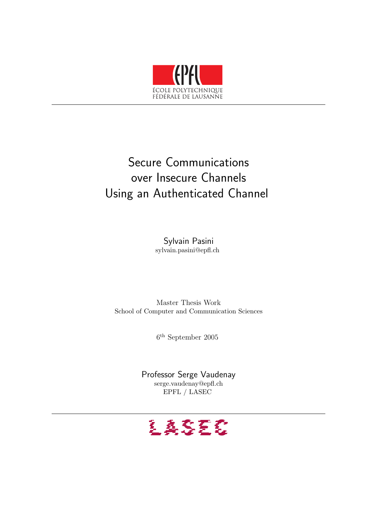

# Secure Communications over Insecure Channels Using an Authenticated Channel

Sylvain Pasini sylvain.pasini@epfl.ch

Master Thesis Work School of Computer and Communication Sciences

6 th September 2005

Professor Serge Vaudenay serge.vaudenay@epfl.ch EPFL / LASEC

# LASEC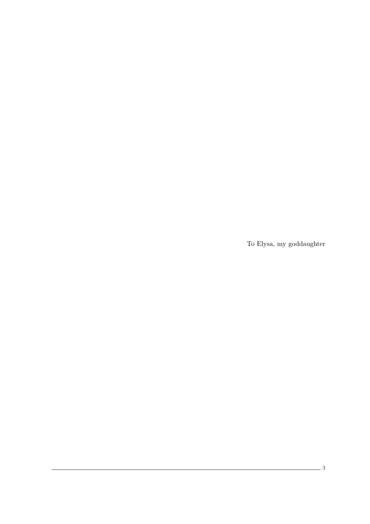To Elysa, my goddaughter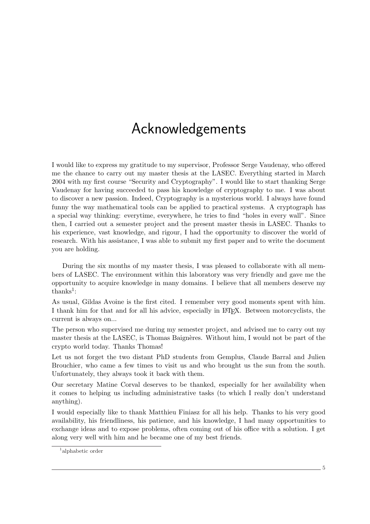# Acknowledgements

I would like to express my gratitude to my supervisor, Professor Serge Vaudenay, who offered me the chance to carry out my master thesis at the LASEC. Everything started in March 2004 with my first course "Security and Cryptography". I would like to start thanking Serge Vaudenay for having succeeded to pass his knowledge of cryptography to me. I was about to discover a new passion. Indeed, Cryptography is a mysterious world. I always have found funny the way mathematical tools can be applied to practical systems. A cryptograph has a special way thinking: everytime, everywhere, he tries to find "holes in every wall". Since then, I carried out a semester project and the present master thesis in LASEC. Thanks to his experience, vast knowledge, and rigour, I had the opportunity to discover the world of research. With his assistance, I was able to submit my first paper and to write the document you are holding.

During the six months of my master thesis, I was pleased to collaborate with all members of LASEC. The environment within this laboratory was very friendly and gave me the opportunity to acquire knowledge in many domains. I believe that all members deserve my  ${\rm thanks}^1$ :

As usual, Gildas Avoine is the first cited. I remember very good moments spent with him. I thank him for that and for all his advice, especially in LATEX. Between motorcyclists, the current is always on...

The person who supervised me during my semester project, and advised me to carry out my master thesis at the LASEC, is Thomas Baignères. Without him, I would not be part of the crypto world today. Thanks Thomas!

Let us not forget the two distant PhD students from Gemplus, Claude Barral and Julien Brouchier, who came a few times to visit us and who brought us the sun from the south. Unfortunately, they always took it back with them.

Our secretary Matine Corval deserves to be thanked, especially for her availability when it comes to helping us including administrative tasks (to which I really don't understand anything).

I would especially like to thank Matthieu Finiasz for all his help. Thanks to his very good availability, his friendliness, his patience, and his knowledge, I had many opportunities to exchange ideas and to expose problems, often coming out of his office with a solution. I get along very well with him and he became one of my best friends.

<sup>1</sup> alphabetic order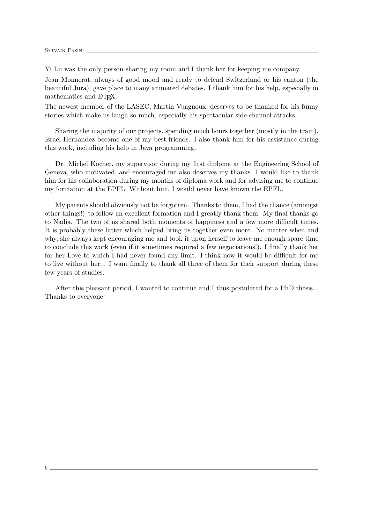Yi Lu was the only person sharing my room and I thank her for keeping me company.

Jean Monnerat, always of good mood and ready to defend Switzerland or his canton (the beautiful Jura), gave place to many animated debates. I thank him for his help, especially in mathematics and LAT<sub>EX</sub>.

The newest member of the LASEC, Martin Vuagnoux, deserves to be thanked for his funny stories which make us laugh so much, especially his spectacular side-channel attacks.

Sharing the majority of our projects, spending much hours together (mostly in the train), Israel Hernandez became one of my best friends. I also thank him for his assistance during this work, including his help in Java programming.

Dr. Michel Kocher, my supervisor during my first diploma at the Engineering School of Geneva, who motivated, and encouraged me also deserves my thanks. I would like to thank him for his collaboration during my months of diploma work and for advising me to continue my formation at the EPFL. Without him, I would never have known the EPFL.

My parents should obviously not be forgotten. Thanks to them, I had the chance (amongst other things!) to follow an excellent formation and I greatly thank them. My final thanks go to Nadia. The two of us shared both moments of happiness and a few more difficult times. It is probably these latter which helped bring us together even more. No matter when and why, she always kept encouraging me and took it upon herself to leave me enough spare time to conclude this work (even if it sometimes required a few negociations!). I finally thank her for her Love to which I had never found any limit. I think now it would be difficult for me to live without her... I want finally to thank all three of them for their support during these few years of studies.

After this pleasant period, I wanted to continue and I thus postulated for a PhD thesis... Thanks to everyone!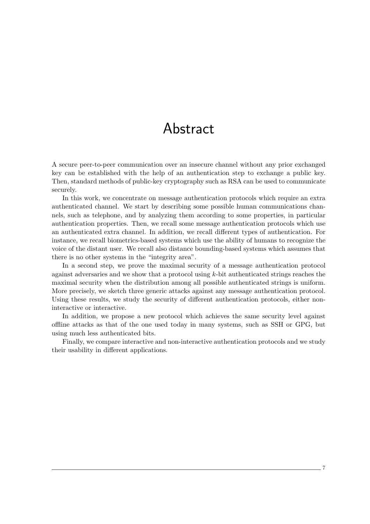# Abstract

A secure peer-to-peer communication over an insecure channel without any prior exchanged key can be established with the help of an authentication step to exchange a public key. Then, standard methods of public-key cryptography such as RSA can be used to communicate securely.

In this work, we concentrate on message authentication protocols which require an extra authenticated channel. We start by describing some possible human communications channels, such as telephone, and by analyzing them according to some properties, in particular authentication properties. Then, we recall some message authentication protocols which use an authenticated extra channel. In addition, we recall different types of authentication. For instance, we recall biometrics-based systems which use the ability of humans to recognize the voice of the distant user. We recall also distance bounding-based systems which assumes that there is no other systems in the "integrity area".

In a second step, we prove the maximal security of a message authentication protocol against adversaries and we show that a protocol using  $k$ -bit authenticated strings reaches the maximal security when the distribution among all possible authenticated strings is uniform. More precisely, we sketch three generic attacks against any message authentication protocol. Using these results, we study the security of different authentication protocols, either noninteractive or interactive.

In addition, we propose a new protocol which achieves the same security level against offline attacks as that of the one used today in many systems, such as SSH or GPG, but using much less authenticated bits.

Finally, we compare interactive and non-interactive authentication protocols and we study their usability in different applications.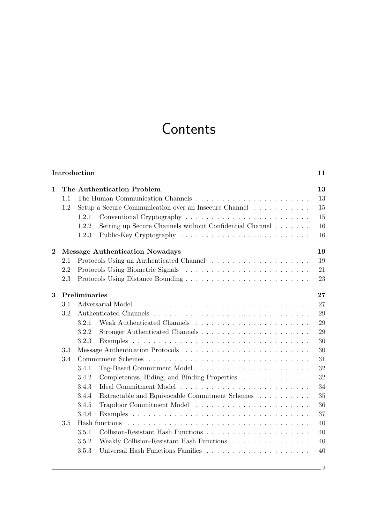# **Contents**

|                | Introduction<br>11 |                                                                  |    |  |  |  |  |  |
|----------------|--------------------|------------------------------------------------------------------|----|--|--|--|--|--|
| $\mathbf{1}$   |                    | The Authentication Problem                                       | 13 |  |  |  |  |  |
|                | 1.1                |                                                                  | 13 |  |  |  |  |  |
|                | 1.2                | Setup a Secure Communication over an Insecure Channel            | 15 |  |  |  |  |  |
|                |                    | 1.2.1                                                            | 15 |  |  |  |  |  |
|                |                    | Setting up Secure Channels without Confidential Channel<br>1.2.2 | 16 |  |  |  |  |  |
|                |                    | 1.2.3                                                            | 16 |  |  |  |  |  |
| $\overline{2}$ |                    | <b>Message Authentication Nowadays</b>                           | 19 |  |  |  |  |  |
|                | 2.1                |                                                                  | 19 |  |  |  |  |  |
|                | 2.2                |                                                                  | 21 |  |  |  |  |  |
|                | 2.3                |                                                                  | 23 |  |  |  |  |  |
| 3              |                    | Preliminaries                                                    | 27 |  |  |  |  |  |
|                | 3.1                | 27<br>Adversarial Model                                          |    |  |  |  |  |  |
|                | 3.2                | 29                                                               |    |  |  |  |  |  |
|                |                    | 321                                                              | 29 |  |  |  |  |  |
|                |                    | 3.2.2                                                            | 29 |  |  |  |  |  |
|                |                    | 3.2.3                                                            | 30 |  |  |  |  |  |
|                | 3.3                | 30<br>Message Authentication Protocols                           |    |  |  |  |  |  |
|                | 3.4                | 31                                                               |    |  |  |  |  |  |
|                |                    | 3.4.1                                                            | 32 |  |  |  |  |  |
|                |                    | 3.4.2<br>Completeness, Hiding, and Binding Properties            | 32 |  |  |  |  |  |
|                |                    | 3.4.3                                                            | 34 |  |  |  |  |  |
|                |                    | Extractable and Equivocable Commitment Schemes<br>3.4.4          | 35 |  |  |  |  |  |
|                |                    | 3.4.5                                                            | 36 |  |  |  |  |  |
|                |                    | 3.4.6                                                            | 37 |  |  |  |  |  |
|                | 3.5                | Hash functions                                                   | 40 |  |  |  |  |  |
|                |                    | 3.5.1                                                            | 40 |  |  |  |  |  |
|                |                    | Weakly Collision-Resistant Hash Functions<br>3.5.2               | 40 |  |  |  |  |  |
|                |                    | 3.5.3                                                            | 40 |  |  |  |  |  |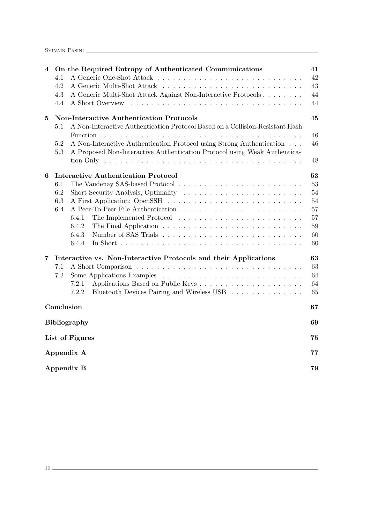| 4 |     | On the Required Entropy of Authenticated Communications                       | 41     |
|---|-----|-------------------------------------------------------------------------------|--------|
|   | 4.1 |                                                                               | 42     |
|   | 4.2 |                                                                               | 43     |
|   | 4.3 | A Generic Multi-Shot Attack Against Non-Interactive Protocols                 | 44     |
|   | 4.4 | A Short Overview                                                              | 44     |
| 5 |     | <b>Non-Interactive Authentication Protocols</b>                               | 45     |
|   | 5.1 | A Non-Interactive Authentication Protocol Based on a Collision-Resistant Hash |        |
|   |     |                                                                               | 46     |
|   | 5.2 | A Non-Interactive Authentication Protocol using Strong Authentication         | 46     |
|   | 5.3 | A Proposed Non-Interactive Authentication Protocol using Weak Authentica-     |        |
|   |     |                                                                               | 48     |
| 6 |     | <b>Interactive Authentication Protocol</b>                                    | 53     |
|   | 6.1 |                                                                               | 53     |
|   | 6.2 | Short Security Analysis, Optimality                                           | 54     |
|   | 6.3 |                                                                               | $54\,$ |
|   | 6.4 |                                                                               | 57     |
|   |     | 6.4.1                                                                         | 57     |
|   |     | 6.4.2                                                                         | 59     |
|   |     | 6.4.3                                                                         | 60     |
|   |     | 6.4.4                                                                         | 60     |
| 7 |     | Interactive vs. Non-Interactive Protocols and their Applications              | 63     |
|   | 7.1 |                                                                               | 63     |
|   | 7.2 |                                                                               | 64     |
|   |     | 7.2.1                                                                         | 64     |
|   |     | Bluetooth Devices Pairing and Wireless USB<br>7.2.2                           | 65     |
|   |     | Conclusion                                                                    | 67     |
|   |     | <b>Bibliography</b>                                                           | 69     |
|   |     | List of Figures                                                               | 75     |
|   |     | Appendix A                                                                    | 77     |
|   |     | Appendix B                                                                    | 79     |
|   |     |                                                                               |        |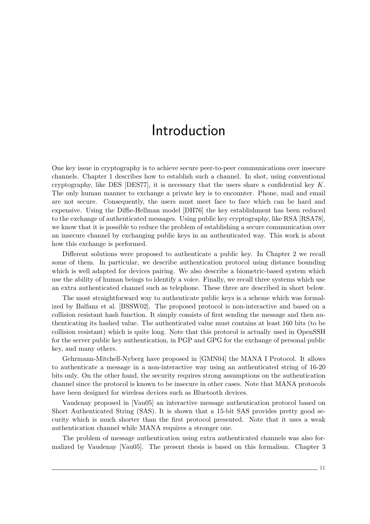# Introduction

One key issue in cryptography is to achieve secure peer-to-peer communications over insecure channels. Chapter 1 describes how to establish such a channel. In shot, using conventional cryptography, like DES  $[DES77]$ , it is necessary that the users share a confidential key K. The only human manner to exchange a private key is to encounter. Phone, mail and email are not secure. Consequently, the users must meet face to face which can be hard and expensive. Using the Diffie-Hellman model [DH76] the key establishment has been reduced to the exchange of authenticated messages. Using public key cryptography, like RSA [RSA78], we know that it is possible to reduce the problem of establishing a secure communication over an insecure channel by exchanging public keys in an authenticated way. This work is about how this exchange is performed.

Different solutions were proposed to authenticate a public key. In Chapter 2 we recall some of them. In particular, we describe authentication protocol using distance bounding which is well adapted for devices pairing. We also describe a biometric-based system which use the ability of human beings to identify a voice. Finally, we recall three systems which use an extra authenticated channel such as telephone. These three are described in short below.

The most straightforward way to authenticate public keys is a scheme which was formalized by Balfanz et al. [BSSW02]. The proposed protocol is non-interactive and based on a collision resistant hash function. It simply consists of first sending the message and then authenticating its hashed value. The authenticated value must contains at least 160 bits (to be collision resistant) which is quite long. Note that this protocol is actually used in OpenSSH for the server public key authentication, in PGP and GPG for the exchange of personal public key, and many others.

Gehrmann-Mitchell-Nyberg have proposed in [GMN04] the MANA I Protocol. It allows to authenticate a message in a non-interactive way using an authenticated string of 16-20 bits only. On the other hand, the security requires strong assumptions on the authentication channel since the protocol is known to be insecure in other cases. Note that MANA protocols have been designed for wireless devices such as Bluetooth devices.

Vaudenay proposed in [Vau05] an interactive message authentication protocol based on Short Authenticated String (SAS). It is shown that a 15-bit SAS provides pretty good security which is much shorter than the first protocol presented. Note that it uses a weak authentication channel while MANA requires a stronger one.

The problem of message authentication using extra authenticated channels was also formalized by Vaudenay [Vau05]. The present thesis is based on this formalism. Chapter 3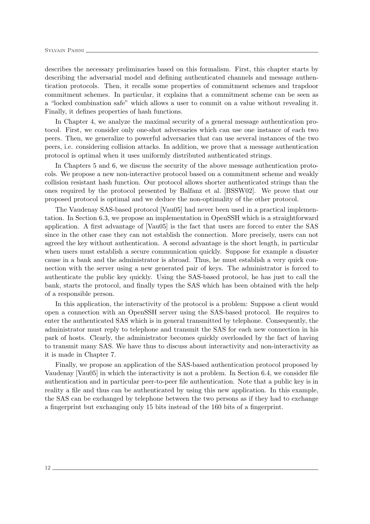describes the necessary preliminaries based on this formalism. First, this chapter starts by describing the adversarial model and defining authenticated channels and message authentication protocols. Then, it recalls some properties of commitment schemes and trapdoor commitment schemes. In particular, it explains that a commitment scheme can be seen as a "locked combination safe" which allows a user to commit on a value without revealing it. Finally, it defines properties of hash functions.

In Chapter 4, we analyze the maximal security of a general message authentication protocol. First, we consider only one-shot adversaries which can use one instance of each two peers. Then, we generalize to powerful adversaries that can use several instances of the two peers, i.e. considering collision attacks. In addition, we prove that a message authentication protocol is optimal when it uses uniformly distributed authenticated strings.

In Chapters 5 and 6, we discuss the security of the above message authentication protocols. We propose a new non-interactive protocol based on a commitment scheme and weakly collision resistant hash function. Our protocol allows shorter authenticated strings than the ones required by the protocol presented by Balfanz et al. [BSSW02]. We prove that our proposed protocol is optimal and we deduce the non-optimality of the other protocol.

The Vaudenay SAS-based protocol [Vau05] had never been used in a practical implementation. In Section 6.3, we propose an implementation in OpenSSH which is a straightforward application. A first advantage of [Vau05] is the fact that users are forced to enter the SAS since in the other case they can not establish the connection. More precisely, users can not agreed the key without authentication. A second advantage is the short length, in particular when users must establish a secure communication quickly. Suppose for example a disaster cause in a bank and the administrator is abroad. Thus, he must establish a very quick connection with the server using a new generated pair of keys. The administrator is forced to authenticate the public key quickly. Using the SAS-based protocol, he has just to call the bank, starts the protocol, and finally types the SAS which has been obtained with the help of a responsible person.

In this application, the interactivity of the protocol is a problem: Suppose a client would open a connection with an OpenSSH server using the SAS-based protocol. He requires to enter the authenticated SAS which is in general transmitted by telephone. Consequently, the administrator must reply to telephone and transmit the SAS for each new connection in his park of hosts. Clearly, the administrator becomes quickly overloaded by the fact of having to transmit many SAS. We have thus to discuss about interactivity and non-interactivity as it is made in Chapter 7.

Finally, we propose an application of the SAS-based authentication protocol proposed by Vaudenay [Vau05] in which the interactivity is not a problem. In Section 6.4, we consider file authentication and in particular peer-to-peer file authentication. Note that a public key is in reality a file and thus can be authenticated by using this new application. In this example, the SAS can be exchanged by telephone between the two persons as if they had to exchange a fingerprint but exchanging only 15 bits instead of the 160 bits of a fingerprint.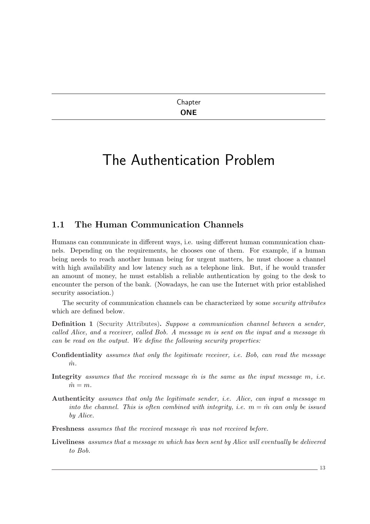| Chapter |  |  |  |  |
|---------|--|--|--|--|
| ONE     |  |  |  |  |

# The Authentication Problem

### 1.1 The Human Communication Channels

Humans can communicate in different ways, i.e. using different human communication channels. Depending on the requirements, he chooses one of them. For example, if a human being needs to reach another human being for urgent matters, he must choose a channel with high availability and low latency such as a telephone link. But, if he would transfer an amount of money, he must establish a reliable authentication by going to the desk to encounter the person of the bank. (Nowadays, he can use the Internet with prior established security association.)

The security of communication channels can be characterized by some security attributes which are defined below.

Definition 1 (Security Attributes). Suppose a communication channel between a sender, called Alice, and a receiver, called Bob. A message m is sent on the input and a message  $\hat{m}$ can be read on the output. We define the following security properties:

- Confidentiality assumes that only the legitimate receiver, i.e. Bob, can read the message  $\hat{m}$ .
- Integrity assumes that the received message  $\hat{m}$  is the same as the input message  $m$ , i.e.  $\hat{m} = m.$
- Authenticity assumes that only the legitimate sender, i.e. Alice, can input a message m into the channel. This is often combined with integrity, i.e.  $m = \hat{m}$  can only be issued by Alice.

Freshness assumes that the received message  $\hat{m}$  was not received before.

Liveliness assumes that a message m which has been sent by Alice will eventually be delivered to Bob.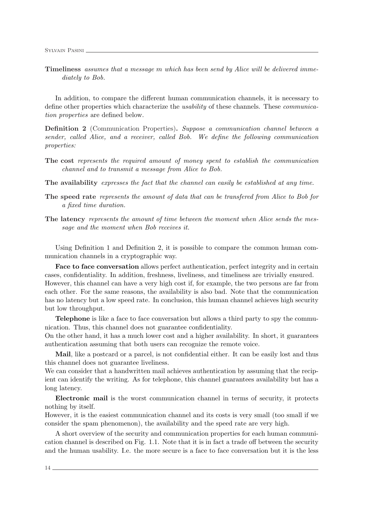Timeliness assumes that a message m which has been send by Alice will be delivered immediately to Bob.

In addition, to compare the different human communication channels, it is necessary to define other properties which characterize the usability of these channels. These communication properties are defined below.

Definition 2 (Communication Properties). Suppose a communication channel between a sender, called Alice, and a receiver, called Bob. We define the following communication properties:

- The cost represents the required amount of money spent to establish the communication channel and to transmit a message from Alice to Bob.
- The availability expresses the fact that the channel can easily be established at any time.
- The speed rate represents the amount of data that can be transfered from Alice to Bob for a fixed time duration.
- The latency represents the amount of time between the moment when Alice sends the message and the moment when Bob receives it.

Using Definition 1 and Definition 2, it is possible to compare the common human communication channels in a cryptographic way.

Face to face conversation allows perfect authentication, perfect integrity and in certain cases, confidentiality. In addition, freshness, liveliness, and timeliness are trivially ensured. However, this channel can have a very high cost if, for example, the two persons are far from each other. For the same reasons, the availability is also bad. Note that the communication has no latency but a low speed rate. In conclusion, this human channel achieves high security but low throughput.

Telephone is like a face to face conversation but allows a third party to spy the communication. Thus, this channel does not guarantee confidentiality.

On the other hand, it has a much lower cost and a higher availability. In short, it guarantees authentication assuming that both users can recognize the remote voice.

Mail, like a postcard or a parcel, is not confidential either. It can be easily lost and thus this channel does not guarantee liveliness.

We can consider that a handwritten mail achieves authentication by assuming that the recipient can identify the writing. As for telephone, this channel guarantees availability but has a long latency.

Electronic mail is the worst communication channel in terms of security, it protects nothing by itself.

However, it is the easiest communication channel and its costs is very small (too small if we consider the spam phenomenon), the availability and the speed rate are very high.

A short overview of the security and communication properties for each human communication channel is described on Fig. 1.1. Note that it is in fact a trade off between the security and the human usability. I.e. the more secure is a face to face conversation but it is the less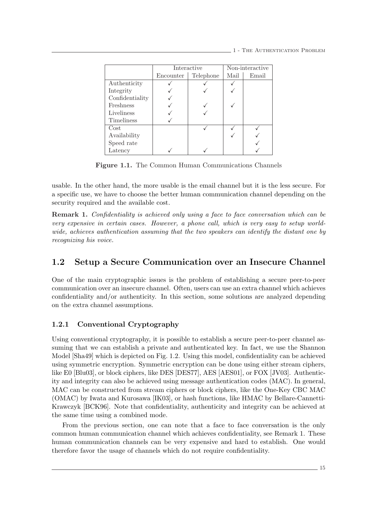|                 | Interactive            |  | Non-interactive |       |
|-----------------|------------------------|--|-----------------|-------|
|                 | Telephone<br>Encounter |  | Mail            | Email |
| Authenticity    |                        |  |                 |       |
| Integrity       |                        |  |                 |       |
| Confidentiality |                        |  |                 |       |
| Freshness       |                        |  |                 |       |
| Liveliness      |                        |  |                 |       |
| Timeliness      |                        |  |                 |       |
| Cost            |                        |  |                 |       |
| Availability    |                        |  |                 |       |
| Speed rate      |                        |  |                 |       |
| Latency         |                        |  |                 |       |

Figure 1.1. The Common Human Communications Channels

usable. In the other hand, the more usable is the email channel but it is the less secure. For a specific use, we have to choose the better human communication channel depending on the security required and the available cost.

Remark 1. Confidentiality is achieved only using a face to face conversation which can be very expensive in certain cases. However, a phone call, which is very easy to setup worldwide, achieves authentication assuming that the two speakers can identify the distant one by recognizing his voice.

## 1.2 Setup a Secure Communication over an Insecure Channel

One of the main cryptographic issues is the problem of establishing a secure peer-to-peer communication over an insecure channel. Often, users can use an extra channel which achieves confidentiality and/or authenticity. In this section, some solutions are analyzed depending on the extra channel assumptions.

### 1.2.1 Conventional Cryptography

Using conventional cryptography, it is possible to establish a secure peer-to-peer channel assuming that we can establish a private and authenticated key. In fact, we use the Shannon Model [Sha49] which is depicted on Fig. 1.2. Using this model, confidentiality can be achieved using symmetric encryption. Symmetric encryption can be done using either stream ciphers, like E0 [Blu03], or block ciphers, like DES [DES77], AES [AES01], or FOX [JV03]. Authenticity and integrity can also be achieved using message authentication codes (MAC). In general, MAC can be constructed from stream ciphers or block ciphers, like the One-Key CBC MAC (OMAC) by Iwata and Kurosawa [IK03], or hash functions, like HMAC by Bellare-Cannetti-Krawczyk [BCK96]. Note that confidentiality, authenticity and integrity can be achieved at the same time using a combined mode.

From the previous section, one can note that a face to face conversation is the only common human communication channel which achieves confidentiality, see Remark 1. These human communication channels can be very expensive and hard to establish. One would therefore favor the usage of channels which do not require confidentiality.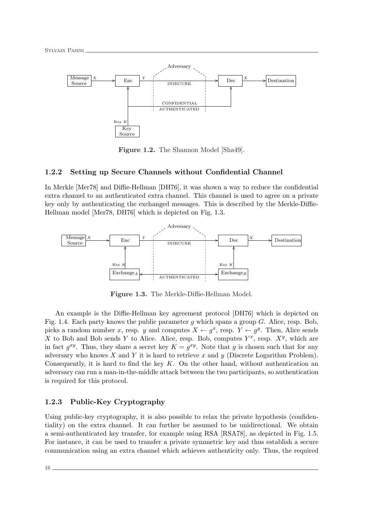

Figure 1.2. The Shannon Model [Sha49].

#### 1.2.2 Setting up Secure Channels without Confidential Channel

In Merkle [Mer78] and Diffie-Hellman [DH76], it was shown a way to reduce the confidential extra channel to an authenticated extra channel. This channel is used to agree on a private key only by authenticating the exchanged messages. This is described by the Merkle-Diffie-Hellman model [Mer78, DH76] which is depicted on Fig. 1.3.



Figure 1.3. The Merkle-Diffie-Hellman Model.

An example is the Diffie-Hellman key agreement protocol [DH76] which is depicted on Fig. 1.4. Each party knows the public parameter g which spans a group  $G$ . Alice, resp. Bob, picks a random number x, resp. y and computes  $X \leftarrow g^x$ , resp.  $Y \leftarrow g^y$ . Then, Alice sends X to Bob and Bob sends Y to Alice. Alice, resp. Bob, computes  $Y^x$ , resp.  $X^y$ , which are in fact  $g^{xy}$ . Thus, they share a secret key  $K = g^{xy}$ . Note that g is chosen such that for any adversary who knows  $X$  and  $Y$  it is hard to retrieve  $x$  and  $y$  (Discrete Logarithm Problem). Consequently, it is hard to find the key  $K$ . On the other hand, without authentication an adversary can run a man-in-the-middle attack between the two participants, so authentication is required for this protocol.

#### 1.2.3 Public-Key Cryptography

Using public-key cryptography, it is also possible to relax the private hypothesis (confidentiality) on the extra channel. It can further be assumed to be unidirectional. We obtain a semi-authenticated key transfer, for example using RSA [RSA78], as depicted in Fig. 1.5. For instance, it can be used to transfer a private symmetric key and thus establish a secure communication using an extra channel which achieves authenticity only. Thus, the required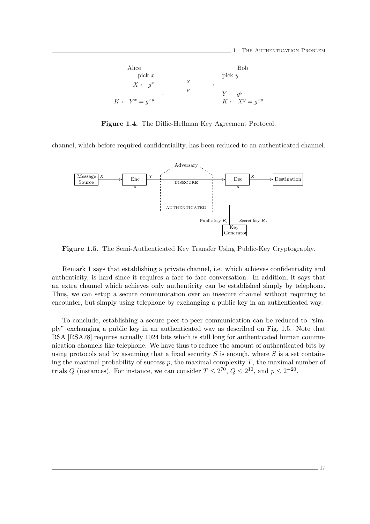1 - The Authentication Problem



Figure 1.4. The Diffie-Hellman Key Agreement Protocol.

channel, which before required confidentiality, has been reduced to an authenticated channel.



Figure 1.5. The Semi-Authenticated Key Transfer Using Public-Key Cryptography.

Remark 1 says that establishing a private channel, i.e. which achieves confidentiality and authenticity, is hard since it requires a face to face conversation. In addition, it says that an extra channel which achieves only authenticity can be established simply by telephone. Thus, we can setup a secure communication over an insecure channel without requiring to encounter, but simply using telephone by exchanging a public key in an authenticated way.

To conclude, establishing a secure peer-to-peer communication can be reduced to "simply" exchanging a public key in an authenticated way as described on Fig. 1.5. Note that RSA [RSA78] requires actually 1024 bits which is still long for authenticated human communication channels like telephone. We have thus to reduce the amount of authenticated bits by using protocols and by assuming that a fixed security  $S$  is enough, where  $S$  is a set containing the maximal probability of success  $p$ , the maximal complexity  $T$ , the maximal number of trials Q (instances). For instance, we can consider  $T \leq 2^{70}$ ,  $Q \leq 2^{10}$ , and  $p \leq 2^{-20}$ .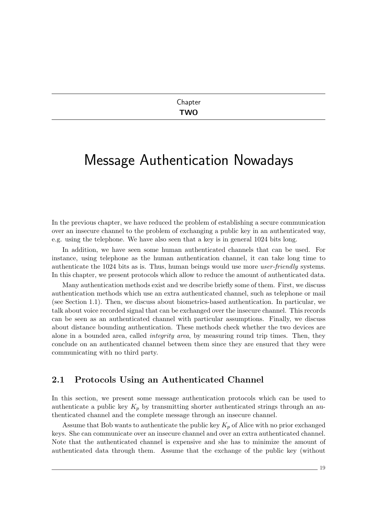| Chapter |  |
|---------|--|
| TWO     |  |

# Message Authentication Nowadays

In the previous chapter, we have reduced the problem of establishing a secure communication over an insecure channel to the problem of exchanging a public key in an authenticated way, e.g. using the telephone. We have also seen that a key is in general 1024 bits long.

In addition, we have seen some human authenticated channels that can be used. For instance, using telephone as the human authentication channel, it can take long time to authenticate the 1024 bits as is. Thus, human beings would use more user-friendly systems. In this chapter, we present protocols which allow to reduce the amount of authenticated data.

Many authentication methods exist and we describe briefly some of them. First, we discuss authentication methods which use an extra authenticated channel, such as telephone or mail (see Section 1.1). Then, we discuss about biometrics-based authentication. In particular, we talk about voice recorded signal that can be exchanged over the insecure channel. This records can be seen as an authenticated channel with particular assumptions. Finally, we discuss about distance bounding authentication. These methods check whether the two devices are alone in a bounded area, called *integrity area*, by measuring round trip times. Then, they conclude on an authenticated channel between them since they are ensured that they were communicating with no third party.

### 2.1 Protocols Using an Authenticated Channel

In this section, we present some message authentication protocols which can be used to authenticate a public key  $K_p$  by transmitting shorter authenticated strings through an authenticated channel and the complete message through an insecure channel.

Assume that Bob wants to authenticate the public key  $K_p$  of Alice with no prior exchanged keys. She can communicate over an insecure channel and over an extra authenticated channel. Note that the authenticated channel is expensive and she has to minimize the amount of authenticated data through them. Assume that the exchange of the public key (without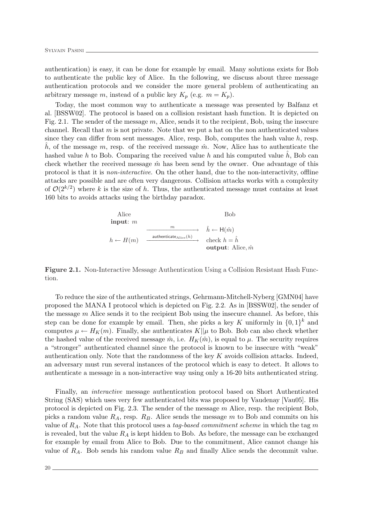authentication) is easy, it can be done for example by email. Many solutions exists for Bob to authenticate the public key of Alice. In the following, we discuss about three message authentication protocols and we consider the more general problem of authenticating an arbitrary message m, instead of a public key  $K_p$  (e.g.  $m = K_p$ ).

Today, the most common way to authenticate a message was presented by Balfanz et al. [BSSW02]. The protocol is based on a collision resistant hash function. It is depicted on Fig. 2.1. The sender of the message m, Alice, sends it to the recipient, Bob, using the insecure channel. Recall that  $m$  is not private. Note that we put a hat on the non authenticated values since they can differ from sent messages. Alice, resp. Bob, computes the hash value h, resp. h, of the message m, resp. of the received message  $\hat{m}$ . Now, Alice has to authenticate the hashed value h to Bob. Comparing the received value h and his computed value h, Bob can check whether the received message  $\hat{m}$  has been send by the owner. One advantage of this protocol is that it is non-interactive. On the other hand, due to the non-interactivity, offline attacks are possible and are often very dangerous. Collision attacks works with a complexity of  $\mathcal{O}(2^{k/2})$  where k is the size of h. Thus, the authenticated message must contains at least 160 bits to avoids attacks using the birthday paradox.

> Alice Bob input: m  $\stackrel{m}{\longrightarrow}$   $\hat{h} \leftarrow H(\hat{m})$  $h \leftarrow H(m)$ authenticate  $_{\rm Alice}(h)$ check  $h = \hat{h}$ output: Alice,  $\hat{m}$

Figure 2.1. Non-Interactive Message Authentication Using a Collision Resistant Hash Function.

To reduce the size of the authenticated strings, Gehrmann-Mitchell-Nyberg [GMN04] have proposed the MANA I protocol which is depicted on Fig. 2.2. As in [BSSW02], the sender of the message  $m$  Alice sends it to the recipient Bob using the insecure channel. As before, this step can be done for example by email. Then, she picks a key K uniformly in  $\{0,1\}^k$  and computes  $\mu \leftarrow H_K(m)$ . Finally, she authenticates  $K||\mu$  to Bob. Bob can also check whether the hashed value of the received message  $\hat{m}$ , i.e.  $H_K(\hat{m})$ , is equal to  $\mu$ . The security requires a "stronger" authenticated channel since the protocol is known to be insecure with "weak" authentication only. Note that the randomness of the key  $K$  avoids collision attacks. Indeed, an adversary must run several instances of the protocol which is easy to detect. It allows to authenticate a message in a non-interactive way using only a 16-20 bits authenticated string.

Finally, an interactive message authentication protocol based on Short Authenticated String (SAS) which uses very few authenticated bits was proposed by Vaudenay [Vau05]. His protocol is depicted on Fig. 2.3. The sender of the message  $m$  Alice, resp. the recipient Bob, picks a random value  $R_A$ , resp.  $R_B$ . Alice sends the message m to Bob and commits on his value of  $R_A$ . Note that this protocol uses a tag-based commitment scheme in which the tag m is revealed, but the value  $R_A$  is kept hidden to Bob. As before, the message can be exchanged for example by email from Alice to Bob. Due to the commitment, Alice cannot change his value of  $R_A$ . Bob sends his random value  $R_B$  and finally Alice sends the decommit value.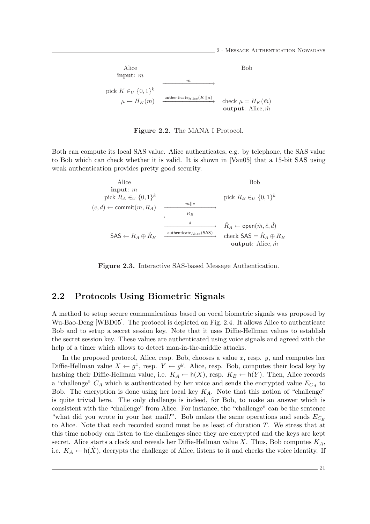2 - Message Authentication Nowadays





Both can compute its local SAS value. Alice authenticates, e.g. by telephone, the SAS value to Bob which can check whether it is valid. It is shown in [Vau05] that a 15-bit SAS using weak authentication provides pretty good security.

> Alice Bob input: m pick  $R_A \in U$  {0,1}<sup>k</sup>  $\text{pick } R_B \in_U \{0,1\}^k$  $(c, d) \leftarrow \text{commit}(m, R_A)$  $m||c$  $-$ <del>−−−</del>  $\leftarrow$   $\leftarrow$   $\leftarrow$   $\leftarrow$   $\leftarrow$   $\leftarrow$  $R_B$  $\stackrel{d}{\longrightarrow}$   $\hat{R}_A \leftarrow$  open $(\hat{m}, \hat{c}, \hat{d})$  $SAS \leftarrow R_A \oplus \hat{R}_B$  $a$ uthenticate $_{\rm Alice}({\sf SAS})$ check  $SAS = \hat{R}_A \oplus R_B$ output: Alice,  $\hat{m}$

Figure 2.3. Interactive SAS-based Message Authentication.

### 2.2 Protocols Using Biometric Signals

A method to setup secure communications based on vocal biometric signals was proposed by Wu-Bao-Deng [WBD05]. The protocol is depicted on Fig. 2.4. It allows Alice to authenticate Bob and to setup a secret session key. Note that it uses Diffie-Hellman values to establish the secret session key. These values are authenticated using voice signals and agreed with the help of a timer which allows to detect man-in-the-middle attacks.

In the proposed protocol, Alice, resp. Bob, chooses a value  $x$ , resp.  $y$ , and computes her Diffie-Hellman value  $X \leftarrow g^x$ , resp.  $Y \leftarrow g^y$ . Alice, resp. Bob, computes their local key by hashing their Diffie-Hellman value, i.e.  $K_A \leftarrow h(X)$ , resp.  $K_B \leftarrow h(Y)$ . Then, Alice records a "challenge"  $C_A$  which is authenticated by her voice and sends the encrypted value  $E_{C_A}$  to Bob. The encryption is done using her local key  $K_A$ . Note that this notion of "challenge" is quite trivial here. The only challenge is indeed, for Bob, to make an answer which is consistent with the "challenge" from Alice. For instance, the "challenge" can be the sentence "what did you wrote in your last mail?". Bob makes the same operations and sends  $E_{C_B}$ to Alice. Note that each recorded sound must be as least of duration T. We stress that at this time nobody can listen to the challenges since they are encrypted and the keys are kept secret. Alice starts a clock and reveals her Diffie-Hellman value X. Thus, Bob computes  $K_A$ , i.e.  $K_A \leftarrow h(X)$ , decrypts the challenge of Alice, listens to it and checks the voice identity. If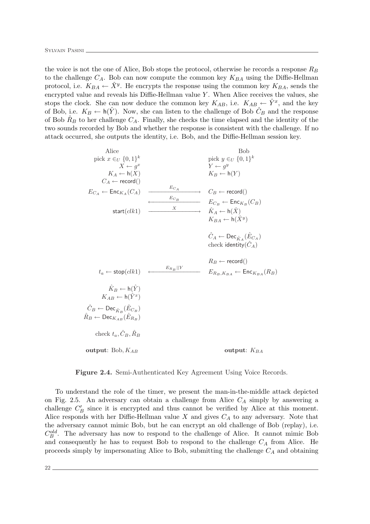the voice is not the one of Alice, Bob stops the protocol, otherwise he records a response  $R_B$ to the challenge  $C_A$ . Bob can now compute the common key  $K_{BA}$  using the Diffie-Hellman protocol, i.e.  $K_{BA} \leftarrow \hat{X}^y$ . He encrypts the response using the common key  $K_{BA}$ , sends the encrypted value and reveals his Diffie-Hellman value  $Y$ . When Alice receives the values, she stops the clock. She can now deduce the common key  $K_{AB}$ , i.e.  $K_{AB} \leftarrow \hat{Y}^x$ , and the key of Bob, i.e.  $K_B \leftarrow h(Y)$ . Now, she can listen to the challenge of Bob  $\hat{C}_B$  and the response of Bob  $R_B$  to her challenge  $C_A$ . Finally, she checks the time elapsed and the identity of the two sounds recorded by Bob and whether the response is consistent with the challenge. If no attack occurred, she outputs the identity, i.e. Bob, and the Diffie-Hellman session key.

Alice  
\npick 
$$
x \in_U \{0,1\}^k
$$
  
\n $X \leftarrow g^x$   
\n $K_A \leftarrow h(X)$   
\n $C_A \leftarrow \text{record}()$   
\n $E_{C_A} \leftarrow \text{Enc}_{K_A}(C_A)$   
\n $\xrightarrow{E_{C_B}}$   
\n $K_A \leftarrow h(Y)$   
\n $\xrightarrow{E_{C_B}}$   
\n $\xrightarrow{E_{C_B}} C_B \leftarrow \text{record}()$   
\n $\xrightarrow{E_{C_B}} \hat{K_A} \leftarrow h(\hat{X})$   
\n $K_{BA} \leftarrow h(\hat{X})$   
\n $K_{BA} \leftarrow h(\hat{X})$   
\n $\xrightarrow{\hat{K}_A} \leftarrow \text{bc}_{\hat{K}_A}(\hat{E}_{C_A})$   
\ncheck identity( $\hat{C}_A$ )  
\n $t_a \leftarrow \text{stop}(clk1)$   
\n $\xrightarrow{E_{R_B}} ||Y$   
\n $\hat{K}_B \leftarrow \text{hc}(Y)$   
\n $K_{AB} \leftarrow h(\hat{Y}^x)$   
\n $\hat{K}_B \leftarrow h(\hat{Y}^x)$   
\n $\hat{K}_B \leftarrow \text{bc}_{\hat{K}_B}(\hat{E}_{C_B})$   
\n $\hat{R}_B \leftarrow \text{Dec}_{K_{AB}}(\hat{E}_{R_B})$   
\ncheck  $t_a, \hat{C}_B, \hat{R}_B$   
\noutput: Bob,  $K_{AB}$   
\noutput: Bob,  $K_{AB}$   
\noutput:  $K_{BA}$ 

Figure 2.4. Semi-Authenticated Key Agreement Using Voice Records.

To understand the role of the timer, we present the man-in-the-middle attack depicted on Fig. 2.5. An adversary can obtain a challenge from Alice  $C_A$  simply by answering a challenge  $C'_B$  since it is encrypted and thus cannot be verified by Alice at this moment. Alice responds with her Diffie-Hellman value  $X$  and gives  $C_A$  to any adversary. Note that the adversary cannot mimic Bob, but he can encrypt an old challenge of Bob (replay), i.e.  $C_B^{old}$ . The adversary has now to respond to the challenge of Alice. It cannot mimic Bob and consequently he has to request Bob to respond to the challenge  $C_A$  from Alice. He proceeds simply by impersonating Alice to Bob, submitting the challenge  $C_A$  and obtaining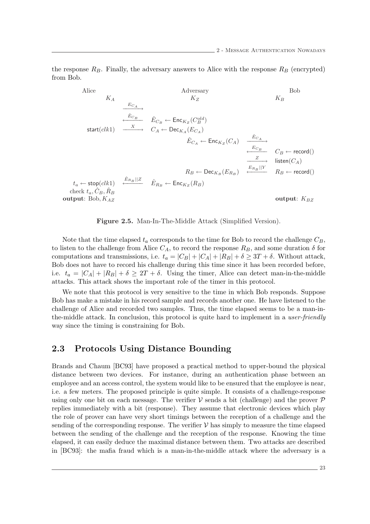the response  $R_B$ . Finally, the adversary answers to Alice with the response  $R_B$  (encrypted) from Bob.

Alice  
\n
$$
K_A
$$
  
\n $K_B$   
\n $K_B$   
\n $K_B$   
\n $K_B$   
\n $K_B$   
\n $K_B$   
\n $K_B$   
\n $K_B$   
\n $K_B$   
\n $K_B$   
\n $K_B$   
\n $K_B$   
\n $K_B$   
\n $K_B$   
\n $K_B$   
\n $K_B$   
\n $K_B$   
\n $K_B$   
\n $K_B$   
\n $K_B$   
\n $K_B$   
\n $K_B$   
\n $K_B$   
\n $K_B$   
\n $K_B$   
\n $K_B$   
\n $K_B$   
\n $\hat{E}_{C_A}$   
\n $\hat{E}_{C_B}$   
\n $\hat{E}_{C_B}$   
\n $\hat{E}_{C_B}$   
\n $\hat{E}_{C_B}$   
\n $\hat{E}_{C_B}$   
\n $\hat{E}_{C_B}$   
\n $\hat{E}_{C_B}$   
\n $\hat{E}_{C_B}$   
\n $\hat{E}_{C_B}$   
\n $\hat{E}_{C_B}$   
\n $\hat{E}_{C_B}$   
\n $\hat{E}_{C_B}$   
\n $\hat{E}_{C_B}$   
\n $\hat{E}_{C_B}$   
\n $\hat{E}_{C_B}$   
\n $\hat{E}_{C_B}$   
\n $\hat{E}_{C_B}$   
\n $\hat{E}_{C_B}$   
\n $\hat{E}_{C_B}$   
\n $\hat{E}_{C_B}$   
\n $\hat{E}_{C_B}$   
\n $\hat{E}_{C_B}$   
\n $\hat{E}_{C_B}$   
\n $\hat{E}_{C_B}$   
\n $\hat{E}_{C_B}$   
\n $\hat{E}_{C_B}$   
\n $\hat{E}_{C_B}$   
\n $\hat{E}_{C_B}$   
\n $\hat{E}_{C_B}$   
\n $\hat{E}_{C_B}$   
\n $\hat{E}_{C_B}$   
\n<

Figure 2.5. Man-In-The-Middle Attack (Simplified Version).

Note that the time elapsed  $t_a$  corresponds to the time for Bob to record the challenge  $C_B$ , to listen to the challenge from Alice  $C_A$ , to record the response  $R_B$ , and some duration  $\delta$  for computations and transmissions, i.e.  $t_a = |C_B| + |C_A| + |R_B| + \delta \geq 3T + \delta$ . Without attack, Bob does not have to record his challenge during this time since it has been recorded before, i.e.  $t_a = |C_A| + |R_B| + \delta \geq 2T + \delta$ . Using the timer, Alice can detect man-in-the-middle attacks. This attack shows the important role of the timer in this protocol.

We note that this protocol is very sensitive to the time in which Bob responds. Suppose Bob has make a mistake in his record sample and records another one. He have listened to the challenge of Alice and recorded two samples. Thus, the time elapsed seems to be a man-inthe-middle attack. In conclusion, this protocol is quite hard to implement in a user-friendly way since the timing is constraining for Bob.

### 2.3 Protocols Using Distance Bounding

Brands and Chaum [BC93] have proposed a practical method to upper-bound the physical distance between two devices. For instance, during an authentication phase between an employee and an access control, the system would like to be ensured that the employee is near, i.e. a few meters. The proposed principle is quite simple. It consists of a challenge-response using only one bit on each message. The verifier  $V$  sends a bit (challenge) and the prover  $\mathcal P$ replies immediately with a bit (response). They assume that electronic devices which play the role of prover can have very short timings between the reception of a challenge and the sending of the corresponding response. The verifier  $\mathcal V$  has simply to measure the time elapsed between the sending of the challenge and the reception of the response. Knowing the time elapsed, it can easily deduce the maximal distance between them. Two attacks are described in [BC93]: the mafia fraud which is a man-in-the-middle attack where the adversary is a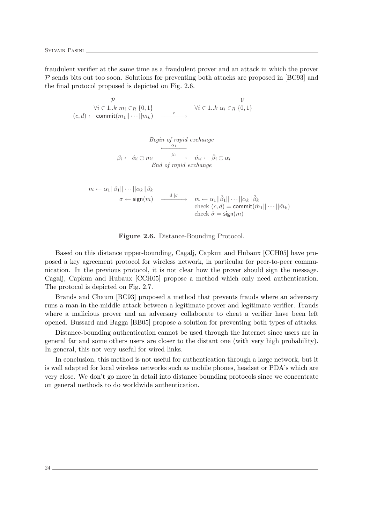fraudulent verifier at the same time as a fraudulent prover and an attack in which the prover  $P$  sends bits out too soon. Solutions for preventing both attacks are proposed in [BC93] and the final protocol proposed is depicted on Fig. 2.6.

$$
\begin{array}{ccc}\n & \mathcal{P} & & \mathcal{V} \\
\forall i \in 1..k \ m_i \in_R \{0,1\} & & \forall i \in 1..k \ \alpha_i \in_R \{0,1\} \\
(c,d) \leftarrow \text{commit}(m_1 || \cdots || m_k) & \xrightarrow{c} & & \end{array}
$$

Begin of rapid exchange  $\leftarrow$ <sup> $\alpha_i$ </sup>  $\overline{\alpha_i}$  $\beta_i \leftarrow \hat{\alpha}_i \oplus m_i \quad \xrightarrow{\beta_i} \quad \hat{m}_i \leftarrow \hat{\beta}_i \oplus \alpha_i$ End of rapid exchange

 $m \leftarrow \alpha_1 ||\beta_1|| \cdots ||\alpha_k|| \beta_k$  $\sigma \leftarrow \mathsf{sign}(m) \quad \xrightarrow{d||\sigma} \quad m \leftarrow \alpha_1 ||\hat{\beta}_1|| \cdots ||\alpha_k|| \hat{\beta}_k$ check  $(c, d) = \text{commit}(\hat{m}_1 || \cdots || \hat{m}_k)$ check  $\hat{\sigma} = \text{sign}(m)$ 

Figure 2.6. Distance-Bounding Protocol.

Based on this distance upper-bounding, Cagalj, Capkun and Hubaux [CCH05] have proposed a key agreement protocol for wireless network, in particular for peer-to-peer communication. In the previous protocol, it is not clear how the prover should sign the message. Cagalj, Capkun and Hubaux [CCH05] propose a method which only need authentication. The protocol is depicted on Fig. 2.7.

Brands and Chaum [BC93] proposed a method that prevents frauds where an adversary runs a man-in-the-middle attack between a legitimate prover and legitimate verifier. Frauds where a malicious prover and an adversary collaborate to cheat a verifier have been left opened. Bussard and Bagga [BB05] propose a solution for preventing both types of attacks.

Distance-bounding authentication cannot be used through the Internet since users are in general far and some others users are closer to the distant one (with very high probability). In general, this not very useful for wired links.

In conclusion, this method is not useful for authentication through a large network, but it is well adapted for local wireless networks such as mobile phones, headset or PDA's which are very close. We don't go more in detail into distance bounding protocols since we concentrate on general methods to do worldwide authentication.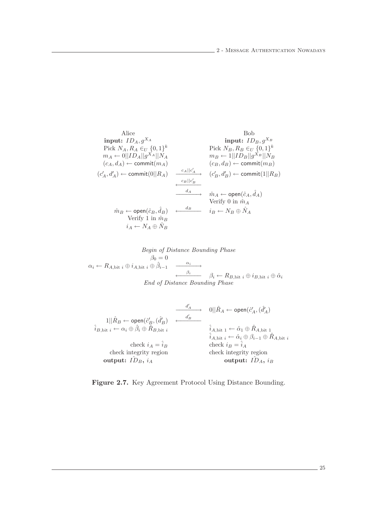Alice  
\n**input:** 
$$
ID_{A}, g^{X_A}
$$
  
\nPick  $N_A, R_A \in U \{0, 1\}^k$   
\n $m_A \leftarrow 0 || ID_A||g^{X_A}||N_A$   
\n $(c_A, d_A) \leftarrow \text{commit}(m_A)$   
\n $(c'_A, d'_A) \leftarrow \text{commit}(0 || R_A)$   
\n $(c'_A, d'_A) \leftarrow \text{commit}(0 || R_A)$   
\n $(c'_B, d'_B) \leftarrow \text{commit}(1 || R_B)$   
\n $(c'_B, d'_B) \leftarrow \text{commit}(1 || R_B)$   
\n $(c'_B, d'_B) \leftarrow \text{commit}(1 || R_B)$   
\n $(c'_B, d'_B) \leftarrow \text{commit}(1 || R_B)$   
\n $(c'_B, d'_B) \leftarrow \text{commit}(1 || R_B)$   
\n $(c'_B, d'_B) \leftarrow \text{commit}(1 || R_B)$   
\n $(c'_B, d'_B) \leftarrow \text{commit}(1 || R_B)$   
\n $(c'_B, d'_B) \leftarrow \text{format}(1 || R_B)$   
\n $(c'_B, d'_B) \leftarrow \text{format}(1 || R_B)$   
\n $(c'_B, d'_B) \leftarrow \text{format}(1 || R_B)$   
\n $(c'_B, d'_B) \leftarrow \text{format}(1 || R_B)$   
\n $(c'_B, d'_B) \leftarrow \text{format}(1 || R_B)$   
\n $(c'_B, d'_B) \leftarrow \text{format}(1 || R_B)$ 

Begin of Distance Bounding Phase  $\beta_0 = 0$  $\alpha_i \leftarrow R_{A,\text{bit}}\;_{i} \oplus i_{A,\text{bit}}\;_{i} \oplus \hat{\beta}_{i-1}$  $\overrightarrow{\alpha_i}$  $\overline{\beta_i} \longleftarrow \beta_i \leftarrow R_{B, \text{bit } i} \oplus i_{B, \text{bit } i} \oplus \hat{\alpha}_i$ End of Distance Bounding Phase

$$
\frac{d'_A}{\hat{i}_{B,\text{bit }i}} \xrightarrow{\qquad \text{open}(\hat{c}'_B, (\hat{d}'_B) \qquad \qquad \overbrace{\qquad \qquad }^{d'_B} \qquad \qquad } \qquad 0 || \hat{R}_A \leftarrow \text{open}(\hat{c}'_A, (\hat{d}'_A) \qquad \qquad \hat{i}_{B,\text{bit }i} \leftarrow \alpha_i \oplus \hat{\beta}_i \oplus \hat{R}_{B,\text{bit }i} \qquad \qquad \hat{i}_{A,\text{bit }1} \leftarrow \hat{\alpha}_1 \oplus \hat{R}_{A,\text{bit }1} \qquad \qquad \hat{i}_{A,\text{bit }i} \leftarrow \hat{\alpha}_i \oplus \beta_{i-1} \oplus \hat{R}_{A,\text{bit }i} \qquad \qquad \text{check } i_A = \hat{i}_B \qquad \qquad \text{check } i_B = \hat{i}_A \qquad \qquad \text{check } i_B \oplus \hat{i}_A \qquad \qquad \text{check } i_B \oplus \hat{i}_A \qquad \qquad \text{output: } \hat{ID}_B, \; i_A \qquad \qquad \qquad \text{output: } \hat{ID}_A, \; i_B
$$

Figure 2.7. Key Agreement Protocol Using Distance Bounding.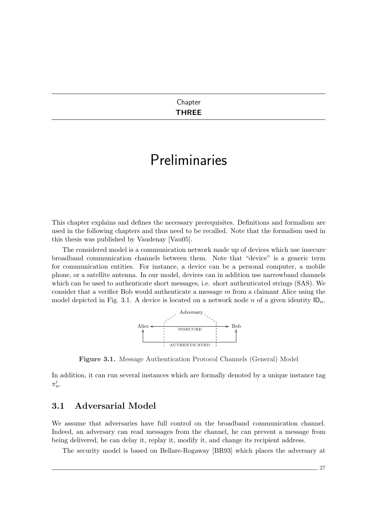| Chapter      |  |  |  |  |  |
|--------------|--|--|--|--|--|
| <b>THREE</b> |  |  |  |  |  |

# Preliminaries

This chapter explains and defines the necessary prerequisites. Definitions and formalism are used in the following chapters and thus need to be recalled. Note that the formalism used in this thesis was published by Vaudenay [Vau05].

The considered model is a communication network made up of devices which use insecure broadband communication channels between them. Note that "device" is a generic term for communication entities. For instance, a device can be a personal computer, a mobile phone, or a satellite antenna. In our model, devices can in addition use narrowband channels which can be used to authenticate short messages, i.e. short authenticated strings (SAS). We consider that a verifier Bob would authenticate a message  $m$  from a claimant Alice using the model depicted in Fig. 3.1. A device is located on a network node n of a given identity  $\mathsf{ID}_n$ .



Figure 3.1. Message Authentication Protocol Channels (General) Model

In addition, it can run several instances which are formally denoted by a unique instance tag  $\pi_n^i$ .

### 3.1 Adversarial Model

We assume that adversaries have full control on the broadband communication channel. Indeed, an adversary can read messages from the channel, he can prevent a message from being delivered, he can delay it, replay it, modify it, and change its recipient address.

The security model is based on Bellare-Rogaway [BR93] which places the adversary at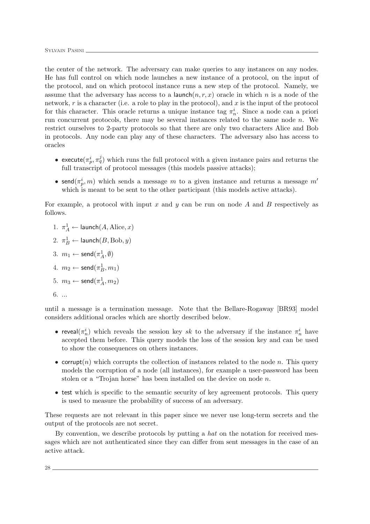the center of the network. The adversary can make queries to any instances on any nodes. He has full control on which node launches a new instance of a protocol, on the input of the protocol, and on which protocol instance runs a new step of the protocol. Namely, we assume that the adversary has access to a launch $(n, r, x)$  oracle in which n is a node of the network,  $r$  is a character (i.e. a role to play in the protocol), and  $x$  is the input of the protocol for this character. This oracle returns a unique instance tag  $\pi_n^i$ . Since a node can a priori run concurrent protocols, there may be several instances related to the same node n. We restrict ourselves to 2-party protocols so that there are only two characters Alice and Bob in protocols. Any node can play any of these characters. The adversary also has access to oracles

- execute  $(\pi_p^i, \pi_q^j)$  which runs the full protocol with a given instance pairs and returns the full transcript of protocol messages (this models passive attacks);
- send $(\pi_p^i, m)$  which sends a message m to a given instance and returns a message m' which is meant to be sent to the other participant (this models active attacks).

For example, a protocol with input  $x$  and  $y$  can be run on node  $A$  and  $B$  respectively as follows.

- 1.  $\pi_A^1 \leftarrow \text{Iaunch}(A, \text{Alice}, x)$
- 2.  $\pi_B^1 \leftarrow \textsf{launch}(B, \text{Bob}, y)$
- 3.  $m_1 \leftarrow \mathsf{send}(\pi^1_A, \emptyset)$
- 4.  $m_2 \leftarrow \mathsf{send}(\pi_B^1, m_1)$

$$
5. \, m_3 \leftarrow \text{send}(\pi_A^1, m_2)
$$

6. ...

until a message is a termination message. Note that the Bellare-Rogaway [BR93] model considers additional oracles which are shortly described below.

- reveal $(\pi_n^i)$  which reveals the session key sk to the adversary if the instance  $\pi_n^i$  have accepted them before. This query models the loss of the session key and can be used to show the consequences on others instances.
- corrupt(n) which corrupts the collection of instances related to the node n. This query models the corruption of a node (all instances), for example a user-password has been stolen or a "Trojan horse" has been installed on the device on node  $n$ .
- test which is specific to the semantic security of key agreement protocols. This query is used to measure the probability of success of an adversary.

These requests are not relevant in this paper since we never use long-term secrets and the output of the protocols are not secret.

By convention, we describe protocols by putting a *hat* on the notation for received messages which are not authenticated since they can differ from sent messages in the case of an active attack.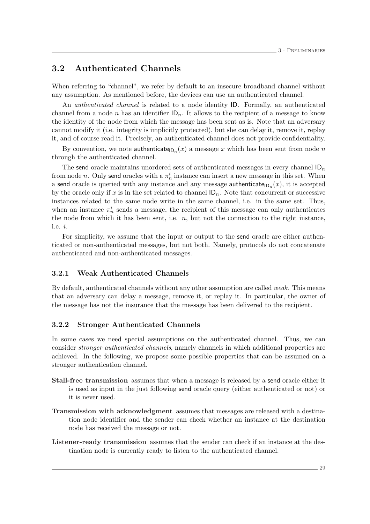# 3.2 Authenticated Channels

When referring to "channel", we refer by default to an insecure broadband channel without any assumption. As mentioned before, the devices can use an authenticated channel.

An authenticated channel is related to a node identity ID. Formally, an authenticated channel from a node n has an identifier  $ID_n$ . It allows to the recipient of a message to know the identity of the node from which the message has been sent as is. Note that an adversary cannot modify it (i.e. integrity is implicitly protected), but she can delay it, remove it, replay it, and of course read it. Precisely, an authenticated channel does not provide confidentiality.

By convention, we note authenticate $_{\mathsf{ID}_n}(x)$  a message x which has been sent from node n through the authenticated channel.

The send oracle maintains unordered sets of authenticated messages in every channel  $\mathsf{ID}_n$ from node *n*. Only send oracles with a  $\pi_n^i$  instance can insert a new message in this set. When a send oracle is queried with any instance and any message authenticate ${}_{\mathsf{ID}_n}(x)$ , it is accepted by the oracle only if x is in the set related to channel  $ID_n$ . Note that concurrent or successive instances related to the same node write in the same channel, i.e. in the same set. Thus, when an instance  $\pi_n^i$  sends a message, the recipient of this message can only authenticates the node from which it has been sent, i.e.  $n$ , but not the connection to the right instance, i.e. i.

For simplicity, we assume that the input or output to the send oracle are either authenticated or non-authenticated messages, but not both. Namely, protocols do not concatenate authenticated and non-authenticated messages.

#### 3.2.1 Weak Authenticated Channels

By default, authenticated channels without any other assumption are called *weak*. This means that an adversary can delay a message, remove it, or replay it. In particular, the owner of the message has not the insurance that the message has been delivered to the recipient.

#### 3.2.2 Stronger Authenticated Channels

In some cases we need special assumptions on the authenticated channel. Thus, we can consider stronger authenticated channels, namely channels in which additional properties are achieved. In the following, we propose some possible properties that can be assumed on a stronger authentication channel.

- Stall-free transmission assumes that when a message is released by a send oracle either it is used as input in the just following send oracle query (either authenticated or not) or it is never used.
- Transmission with acknowledgment assumes that messages are released with a destination node identifier and the sender can check whether an instance at the destination node has received the message or not.
- Listener-ready transmission assumes that the sender can check if an instance at the destination node is currently ready to listen to the authenticated channel.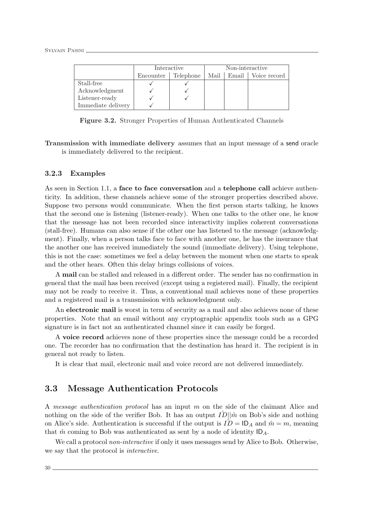|                    | Interactive |           | Non-interactive |  |                             |
|--------------------|-------------|-----------|-----------------|--|-----------------------------|
|                    | Encounter   | Telephone |                 |  | Mail   Email   Voice record |
| Stall-free         |             |           |                 |  |                             |
| Acknowledgment     |             |           |                 |  |                             |
| Listener-ready     |             |           |                 |  |                             |
| Immediate delivery |             |           |                 |  |                             |

Figure 3.2. Stronger Properties of Human Authenticated Channels

Transmission with immediate delivery assumes that an input message of a send oracle is immediately delivered to the recipient.

#### 3.2.3 Examples

As seen in Section 1.1, a face to face conversation and a telephone call achieve authenticity. In addition, these channels achieve some of the stronger properties described above. Suppose two persons would communicate. When the first person starts talking, he knows that the second one is listening (listener-ready). When one talks to the other one, he know that the message has not been recorded since interactivity implies coherent conversations (stall-free). Humans can also sense if the other one has listened to the message (acknowledgment). Finally, when a person talks face to face with another one, he has the insurance that the another one has received immediately the sound (immediate delivery). Using telephone, this is not the case: sometimes we feel a delay between the moment when one starts to speak and the other hears. Often this delay brings collisions of voices.

A mail can be stalled and released in a different order. The sender has no confirmation in general that the mail has been received (except using a registered mail). Finally, the recipient may not be ready to receive it. Thus, a conventional mail achieves none of these properties and a registered mail is a transmission with acknowledgment only.

An electronic mail is worst in term of security as a mail and also achieves none of these properties. Note that an email without any cryptographic appendix tools such as a GPG signature is in fact not an authenticated channel since it can easily be forged.

A voice record achieves none of these properties since the message could be a recorded one. The recorder has no confirmation that the destination has heard it. The recipient is in general not ready to listen.

It is clear that mail, electronic mail and voice record are not delivered immediately.

### 3.3 Message Authentication Protocols

A message authentication protocol has an input m on the side of the claimant Alice and nothing on the side of the verifier Bob. It has an output  $\hat{ID}||\hat{m}$  on Bob's side and nothing on Alice's side. Authentication is successful if the output is  $I\hat{D} = I\mathsf{D}_A$  and  $\hat{m} = m$ , meaning that  $\hat{m}$  coming to Bob was authenticated as sent by a node of identity  $ID_A$ .

We call a protocol *non-interactive* if only it uses messages send by Alice to Bob. Otherwise, we say that the protocol is interactive.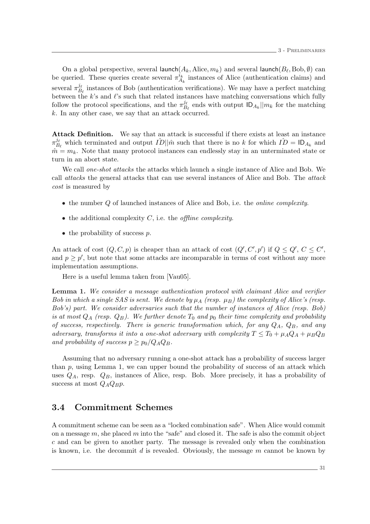On a global perspective, several launch $(A_k, \text{Alice}, m_k)$  and several launch $(B_\ell, \text{Bob}, \emptyset)$  can be queried. These queries create several  $\pi_A^{i_k}$  $\frac{i_k}{A_k}$  instances of Alice (authentication claims) and several  $\pi^{j_{\ell}}_B$  $\frac{\partial \ell}{\partial R_\ell}$  instances of Bob (authentication verifications). We may have a perfect matching between the  $k$ 's and  $\ell$ 's such that related instances have matching conversations which fully follow the protocol specifications, and the  $\pi_R^{j_\ell}$  $\frac{\partial \ell}{\partial R_{\ell}}$  ends with output  $|D_{A_k}| |m_k$  for the matching k. In any other case, we say that an attack occurred.

Attack Definition. We say that an attack is successful if there exists at least an instance  $\pi^{j_\ell}_B$  $\hat{B}_{\ell}^{i}$  which terminated and output  $\hat{ID}||\hat{m}$  such that there is no k for which  $\hat{ID} = \mathsf{ID}_{A_k}$  and  $\hat{m} = m_k$ . Note that many protocol instances can endlessly stay in an unterminated state or turn in an abort state.

We call one-shot attacks the attacks which launch a single instance of Alice and Bob. We call attacks the general attacks that can use several instances of Alice and Bob. The attack cost is measured by

- the number Q of launched instances of Alice and Bob, i.e. the *online complexity*.
- the additional complexity  $C$ , i.e. the *offline complexity*.
- the probability of success  $p$ .

An attack of cost  $(Q, C, p)$  is cheaper than an attack of cost  $(Q', C', p')$  if  $Q \leq Q', C \leq C'$ , and  $p \geq p'$ , but note that some attacks are incomparable in terms of cost without any more implementation assumptions.

Here is a useful lemma taken from [Vau05].

Lemma 1. We consider a message authentication protocol with claimant Alice and verifier Bob in which a single SAS is sent. We denote by  $\mu_A$  (resp.  $\mu_B$ ) the complexity of Alice's (resp. Bob's) part. We consider adversaries such that the number of instances of Alice (resp. Bob) is at most  $Q_A$  (resp.  $Q_B$ ). We further denote  $T_0$  and  $p_0$  their time complexity and probability of success, respectively. There is generic transformation which, for any  $Q_A$ ,  $Q_B$ , and any adversary, transforms it into a one-shot adversary with complexity  $T \leq T_0 + \mu_A Q_A + \mu_B Q_B$ and probability of success  $p \geq p_0/Q_AQ_B$ .

Assuming that no adversary running a one-shot attack has a probability of success larger than  $p$ , using Lemma 1, we can upper bound the probability of success of an attack which uses  $Q_A$ , resp.  $Q_B$ , instances of Alice, resp. Bob. More precisely, it has a probability of success at most  $Q_A Q_B p$ .

### 3.4 Commitment Schemes

A commitment scheme can be seen as a "locked combination safe". When Alice would commit on a message  $m$ , she placed  $m$  into the "safe" and closed it. The safe is also the commit object  $c$  and can be given to another party. The message is revealed only when the combination is known, i.e. the decommit d is revealed. Obviously, the message  $m$  cannot be known by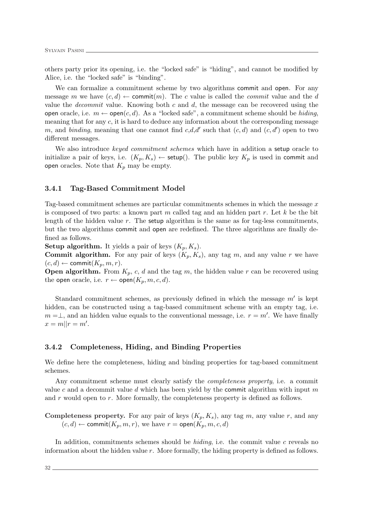others party prior its opening, i.e. the "locked safe" is "hiding", and cannot be modified by Alice, i.e. the "locked safe" is "binding".

We can formalize a commitment scheme by two algorithms commit and open. For any message m we have  $(c, d) \leftarrow$  commit $(m)$ . The c value is called the commit value and the d value the *decommit* value. Knowing both  $c$  and  $d$ , the message can be recovered using the open oracle, i.e.  $m \leftarrow$  open(c, d). As a "locked safe", a commitment scheme should be hiding. meaning that for any  $c$ , it is hard to deduce any information about the corresponding message m, and binding, meaning that one cannot find  $c,d,d'$  such that  $(c,d)$  and  $(c,d')$  open to two different messages.

We also introduce *keyed commitment schemes* which have in addition a **setup** oracle to initialize a pair of keys, i.e.  $(K_p, K_s) \leftarrow \mathsf{setup}()$ . The public key  $K_p$  is used in commit and open oracles. Note that  $K_p$  may be empty.

#### 3.4.1 Tag-Based Commitment Model

Tag-based commitment schemes are particular commitments schemes in which the message  $x$ is composed of two parts: a known part  $m$  called tag and an hidden part  $r$ . Let  $k$  be the bit length of the hidden value r. The setup algorithm is the same as for tag-less commitments, but the two algorithms commit and open are redefined. The three algorithms are finally defined as follows.

**Setup algorithm.** It yields a pair of keys  $(K_p, K_s)$ .

**Commit algorithm.** For any pair of keys  $(K_p, K_s)$ , any tag m, and any value r we have  $(c, d) \leftarrow \text{commit}(K_n, m, r).$ 

**Open algorithm.** From  $K_p$ , c, d and the tag m, the hidden value r can be recovered using the open oracle, i.e.  $r \leftarrow \text{open}(K_p, m, c, d)$ .

Standard commitment schemes, as previously defined in which the message  $m'$  is kept hidden, can be constructed using a tag-based commitment scheme with an empty tag, i.e.  $m = \perp$ , and an hidden value equals to the conventional message, i.e.  $r = m'$ . We have finally  $x = m||r = m'.$ 

#### 3.4.2 Completeness, Hiding, and Binding Properties

We define here the completeness, hiding and binding properties for tag-based commitment schemes.

Any commitment scheme must clearly satisfy the completeness property, i.e. a commit value c and a decommit value d which has been yield by the commit algorithm with input  $m$ and  $r$  would open to  $r$ . More formally, the completeness property is defined as follows.

**Completeness property.** For any pair of keys  $(K_p, K_s)$ , any tag m, any value r, and any  $(c, d) \leftarrow$  commit $(K_p, m, r)$ , we have  $r =$  open $(K_p, m, c, d)$ 

In addition, commitments schemes should be *hiding*, i.e. the commit value c reveals no information about the hidden value  $r$ . More formally, the hiding property is defined as follows.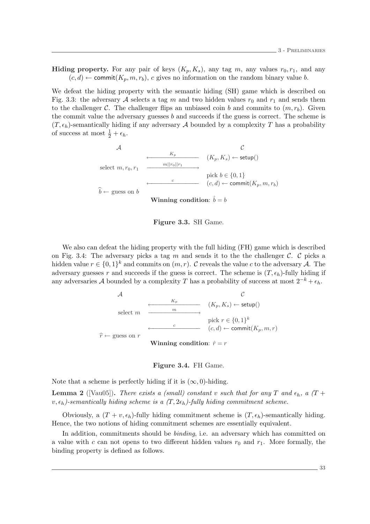**Hiding property.** For any pair of keys  $(K_p, K_s)$ , any tag m, any values  $r_0, r_1$ , and any  $(c, d) \leftarrow$  commit $(K_p, m, r_b)$ , c gives no information on the random binary value b.

We defeat the hiding property with the semantic hiding (SH) game which is described on Fig. 3.3: the adversary A selects a tag m and two hidden values  $r_0$  and  $r_1$  and sends them to the challenger C. The challenger flips an unbiased coin b and commits to  $(m, r_b)$ . Given the commit value the adversary guesses  $b$  and succeeds if the guess is correct. The scheme is  $(T, \epsilon_h)$ -semantically hiding if any adversary A bounded by a complexity T has a probability of success at most  $\frac{1}{2} + \epsilon_h$ .

> $\mathcal A$  contracts the contract of  $\mathcal C$  $\longleftarrow \qquad \begin{array}{c} K_p \qquad \qquad (K_p, K_s) \leftarrow \mathsf{setup}() \end{array}$ select  $m, r_0, r_1$  $m||r_0||r_1 \longrightarrow$ pick  $b \in \{0, 1\}$ pick  $b \in \{0, 1\}$ <br>  $(c, d) \leftarrow \text{commit}(K_p, m, r_b)$  $\widehat{b} \leftarrow$  guess on  $b$ Winning condition:  $\hat{b} = b$



We also can defeat the hiding property with the full hiding (FH) game which is described on Fig. 3.4: The adversary picks a tag m and sends it to the the challenger  $\mathcal{C}$ .  $\mathcal{C}$  picks a hidden value  $r \in \{0,1\}^k$  and commits on  $(m,r)$ . C reveals the value c to the adversary A. The adversary guesses r and succeeds if the guess is correct. The scheme is  $(T, \epsilon_h)$ -fully hiding if any adversaries A bounded by a complexity T has a probability of success at most  $2^{-k} + \epsilon_h$ .

$$
\begin{array}{ccc}\n\mathcal{A} & & & \mathcal{C} \\
\downarrow & & & K_p & & (K_p, K_s) \leftarrow \text{setup}() \\
\text{select } m & & & \text{pick } r \in \{0, 1\}^k \\
\hline\n\hat{r} \leftarrow \text{guess on } r & & & (c, d) \leftarrow \text{commit}(K_p, m, r)\n\end{array}
$$

Figure 3.4. FH Game.

Note that a scheme is perfectly hiding if it is  $(\infty, 0)$ -hiding.

**Lemma 2** ([Vau05]). There exists a (small) constant v such that for any T and  $\epsilon_h$ , a (T +  $v, \epsilon_h$ )-semantically hiding scheme is a  $(T, 2\epsilon_h)$ -fully hiding commitment scheme.

Obviously, a  $(T + v, \epsilon_h)$ -fully hiding commitment scheme is  $(T, \epsilon_h)$ -semantically hiding. Hence, the two notions of hiding commitment schemes are essentially equivalent.

In addition, commitments should be binding, i.e. an adversary which has committed on a value with c can not opens to two different hidden values  $r_0$  and  $r_1$ . More formally, the binding property is defined as follows.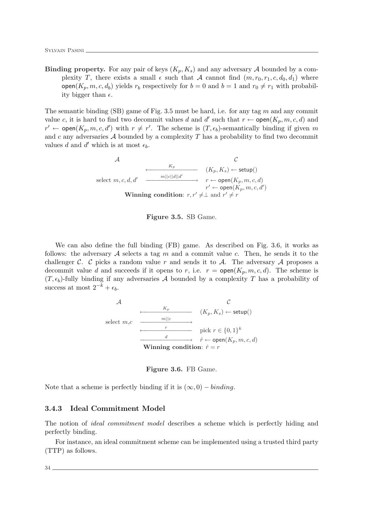**Binding property.** For any pair of keys  $(K_p, K_s)$  and any adversary A bounded by a complexity T, there exists a small  $\epsilon$  such that A cannot find  $(m, r_0, r_1, c, d_0, d_1)$  where open( $K_p, m, c, d_b$ ) yields  $r_b$  respectively for  $b = 0$  and  $b = 1$  and  $r_0 \neq r_1$  with probability bigger than  $\epsilon$ .

The semantic binding  $(SB)$  game of Fig. 3.5 must be hard, i.e. for any tag m and any commit value c, it is hard to find two decommit values d and d' such that  $r \leftarrow \text{open}(K_p, m, c, d)$  and  $r' \leftarrow \mathsf{open}(K_p, m, c, d')$  with  $r \neq r'$ . The scheme is  $(T, \epsilon_b)$ -semantically binding if given m and c any adversaries  $A$  bounded by a complexity  $T$  has a probability to find two decommit values d and d' which is at most  $\epsilon_b$ .

> $\mathcal A$  contracts the contract of  $\mathcal C$  $\begin{CD} \overline{K_p} & (K_p,K_s) \leftarrow \mathsf{setup}() \ \overline{m||c||d||d'} & \gamma & \mathsf{p} \leftarrow \mathsf{open}(K_p,m,c,d) \end{CD}$ select  $m, c, d, d'$  $r' \leftarrow \mathsf{open}(\tilde{K_p}, m, c, d')$ Winning condition:  $r, r' \neq \perp$  and  $r' \neq r$



We can also define the full binding (FB) game. As described on Fig. 3.6, it works as follows: the adversary  $A$  selects a tag  $m$  and a commit value  $c$ . Then, he sends it to the challenger C. C picks a random value r and sends it to A. The adversary A proposes a decommit value d and succeeds if it opens to r, i.e.  $r = \text{open}(K_p, m, c, d)$ . The scheme is  $(T, \epsilon_b)$ -fully binding if any adversaries A bounded by a complexity T has a probability of success at most  $2^{-k} + \epsilon_b$ .

> $\mathcal A$  contracts the contract of  $\mathcal C$  $\longleftarrow$  K<sub>p</sub> (K<sub>p</sub>, K<sub>s</sub>) ← setup() select  $m,c$  $m||c$  $-$ <del>−−−</del>  $\longleftarrow$  r pick  $r \in \{0, 1\}^k$  $\stackrel{d}{\longrightarrow}$   $\stackrel{\sim}{r}$  ← open $(K_n, m, c, d)$ Winning condition:  $\hat{r} = r$

> > Figure 3.6. FB Game.

Note that a scheme is perfectly binding if it is  $(\infty, 0) - binding$ .

#### 3.4.3 Ideal Commitment Model

The notion of *ideal commitment model* describes a scheme which is perfectly hiding and perfectly binding.

For instance, an ideal commitment scheme can be implemented using a trusted third party (TTP) as follows.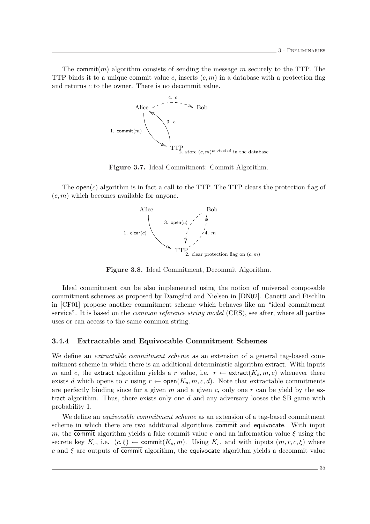The commit $(m)$  algorithm consists of sending the message m securely to the TTP. The TTP binds it to a unique commit value c, inserts  $(c, m)$  in a database with a protection flag and returns  $c$  to the owner. There is no decommit value.



Figure 3.7. Ideal Commitment: Commit Algorithm.

The open $(c)$  algorithm is in fact a call to the TTP. The TTP clears the protection flag of  $(c, m)$  which becomes available for anyone.



Figure 3.8. Ideal Commitment, Decommit Algorithm.

Ideal commitment can be also implemented using the notion of universal composable commitment schemes as proposed by Damgård and Nielsen in [DN02]. Canetti and Fischlin in [CF01] propose another commitment scheme which behaves like an "ideal commitment service". It is based on the *common reference string model* (CRS), see after, where all parties uses or can access to the same common string.

#### 3.4.4 Extractable and Equivocable Commitment Schemes

We define an *extractable commitment scheme* as an extension of a general tag-based commitment scheme in which there is an additional deterministic algorithm extract. With inputs m and c, the extract algorithm yields a r value, i.e.  $r \leftarrow$  extract $(K_s, m, c)$  whenever there exists d which opens to r using  $r \leftarrow \text{open}(K_p, m, c, d)$ . Note that extractable commitments are perfectly binding since for a given  $m$  and a given  $c$ , only one  $r$  can be yield by the extract algorithm. Thus, there exists only one  $d$  and any adversary looses the SB game with probability 1.

We define an *equivocable commitment scheme* as an extension of a tag-based commitment scheme in which there are two additional algorithms commit and equivocate. With input m, the commit algorithm yields a fake commit value c and an information value  $\xi$  using the secrete key  $K_s$ , i.e.  $(c, \xi) \leftarrow \overline{\text{commit}}(K_s, m)$ . Using  $K_s$ , and with inputs  $(m, r, c, \xi)$  where c and  $\xi$  are outputs of commit algorithm, the equivocate algorithm yields a decommit value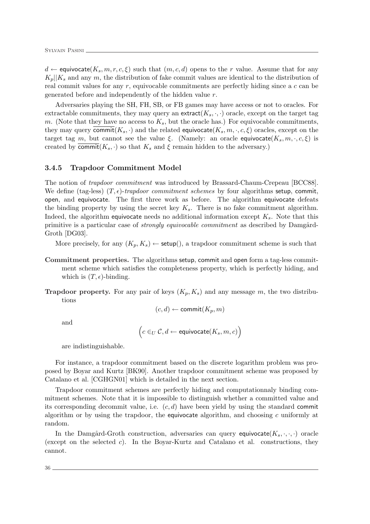$d \leftarrow$  equivocate $(K_s, m, r, c, \xi)$  such that  $(m, c, d)$  opens to the r value. Assume that for any  $K_p||K_s$  and any m, the distribution of fake commit values are identical to the distribution of real commit values for any r, equivocable commitments are perfectly hiding since a c can be generated before and independently of the hidden value r.

Adversaries playing the SH, FH, SB, or FB games may have access or not to oracles. For extractable commitments, they may query an extract( $K_s, \cdot, \cdot$ ) oracle, except on the target tag m. (Note that they have no access to  $K_s$ , but the oracle has.) For equivocable commitments, they may query commit( $K_s$ , ·) and the related equivocate( $K_s$ ,  $m$ , ·,  $c$ ,  $\xi$ ) oracles, except on the target tag m, but cannot see the value  $\xi$ . (Namely: an oracle equivocate( $K_s, m, \cdot, c, \xi$ ) is created by  $\overline{\text{commit}}(K_s, \cdot)$  so that  $K_s$  and  $\xi$  remain hidden to the adversary.)

#### 3.4.5 Trapdoor Commitment Model

The notion of trapdoor commitment was introduced by Brassard-Chaum-Crepeau [BCC88]. We define (tag-less)  $(T, \epsilon)$ -trapdoor commitment schemes by four algorithms setup, commit, open, and equivocate. The first three work as before. The algorithm equivocate defeats the binding property by using the secret key  $K_s$ . There is no fake commitment algorithm. Indeed, the algorithm equivocate needs no additional information except  $K_s$ . Note that this primitive is a particular case of *strongly equivocable commitment* as described by Damgård-Groth [DG03].

More precisely, for any  $(K_p, K_s) \leftarrow \mathsf{setup}()$ , a trapdoor commitment scheme is such that

- Commitment properties. The algorithms setup, commit and open form a tag-less commitment scheme which satisfies the completeness property, which is perfectly hiding, and which is  $(T, \epsilon)$ -binding.
- **Trapdoor property.** For any pair of keys  $(K_p, K_s)$  and any message m, the two distributions

 $(c, d) \leftarrow \text{commit}(K_p, m)$ 

and

$$
\Big(c\in_{U}\mathcal{C},d\leftarrow \text{equivocate}(K_{s},m,c)\Big)
$$

are indistinguishable.

For instance, a trapdoor commitment based on the discrete logarithm problem was proposed by Boyar and Kurtz [BK90]. Another trapdoor commitment scheme was proposed by Catalano et al. [CGHGN01] which is detailed in the next section.

Trapdoor commitment schemes are perfectly hiding and computationnaly binding commitment schemes. Note that it is impossible to distinguish whether a committed value and its corresponding decommit value, i.e.  $(c, d)$  have been yield by using the standard commit algorithm or by using the trapdoor, the equivocate algorithm, and choosing c uniformly at random.

In the Damgård-Groth construction, adversaries can query equivocate  $(K_s, \cdot, \cdot, \cdot)$  oracle (except on the selected c). In the Boyar-Kurtz and Catalano et al. constructions, they cannot.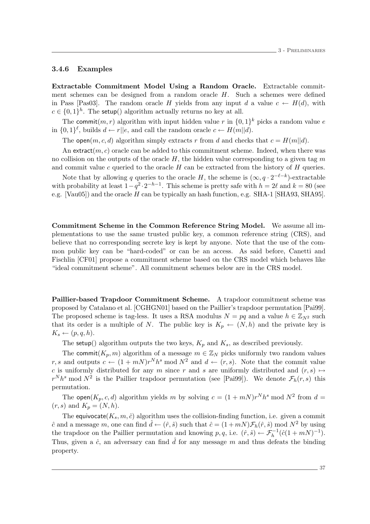#### 3.4.6 Examples

Extractable Commitment Model Using a Random Oracle. Extractable commitment schemes can be designed from a random oracle H. Such a schemes were defined in Pass [Pas03]. The random oracle H yields from any input d a value  $c \leftarrow H(d)$ , with  $c \in \{0,1\}^h$ . The setup() algorithm actually returns no key at all.

The commit $(m, r)$  algorithm with input hidden value r in  $\{0, 1\}^k$  picks a random value e in  $\{0,1\}^{\ell}$ , builds  $d \leftarrow r||e$ , and call the random oracle  $c \leftarrow H(m||d)$ .

The open $(m, c, d)$  algorithm simply extracts r from d and checks that  $c = H(m||d)$ .

An extract $(m, c)$  oracle can be added to this commitment scheme. Indeed, when there was no collision on the outputs of the oracle  $H$ , the hidden value corresponding to a given tag m and commit value  $c$  queried to the oracle  $H$  can be extracted from the history of  $H$  queries.

Note that by allowing q queries to the oracle H, the scheme is  $(\infty, q \cdot 2^{-\ell-k})$ -extractable with probability at least  $1-q^2 \cdot 2^{-h-1}$ . This scheme is pretty safe with  $h = 2\ell$  and  $k = 80$  (see e.g. [Vau05]) and the oracle H can be typically an hash function, e.g. SHA-1 [SHA93, SHA95].

Commitment Scheme in the Common Reference String Model. We assume all implementations to use the same trusted public key, a common reference string (CRS), and believe that no corresponding secrete key is kept by anyone. Note that the use of the common public key can be "hard-coded" or can be an access. As said before, Canetti and Fischlin [CF01] propose a commitment scheme based on the CRS model which behaves like "ideal commitment scheme". All commitment schemes below are in the CRS model.

Paillier-based Trapdoor Commitment Scheme. A trapdoor commitment scheme was proposed by Catalano et al. [CGHGN01] based on the Paillier's trapdoor permutation [Pai99]. The proposed scheme is tag-less. It uses a RSA modulus  $N = pq$  and a value  $h \in \mathbb{Z}_{N^2}$  such that its order is a multiple of N. The public key is  $K_p \leftarrow (N, h)$  and the private key is  $K_s \leftarrow (p, q, h).$ 

The setup() algorithm outputs the two keys,  $K_p$  and  $K_s$ , as described previously.

The commit( $K_p$ , m) algorithm of a message  $m \in \mathbb{Z}_N$  picks uniformly two random values r, s and outputs  $c \leftarrow (1 + mN)r^N h^s \mod N^2$  and  $d \leftarrow (r, s)$ . Note that the commit value c is uniformly distributed for any m since r and s are uniformly distributed and  $(r, s) \mapsto$  $r^N h^s$  mod  $N^2$  is the Paillier trapdoor permutation (see [Pai99]). We denote  $\mathcal{F}_h(r,s)$  this permutation.

The open $(K_p, c, d)$  algorithm yields m by solving  $c = (1 + mN)r^Nh^s \mod N^2$  from  $d =$  $(r, s)$  and  $K_p = (N, h)$ .

The equivocate( $K_s, m, \hat{c}$ ) algorithm uses the collision-finding function, i.e. given a commit ĉ and a message m, one can find  $\hat{d} \leftarrow (\hat{r}, \hat{s})$  such that  $\hat{c} = (1 + mN)\mathcal{F}_h(\hat{r}, \hat{s})$  mod  $N^2$  by using the trapdoor on the Paillier permutation and knowing  $p, q$ , i.e.  $(\hat{r}, \hat{s}) \leftarrow \mathcal{F}_h^{-1}(\hat{c}(1 + mN)^{-1}).$ Thus, given a  $\hat{c}$ , an adversary can find  $\hat{d}$  for any message m and thus defeats the binding property.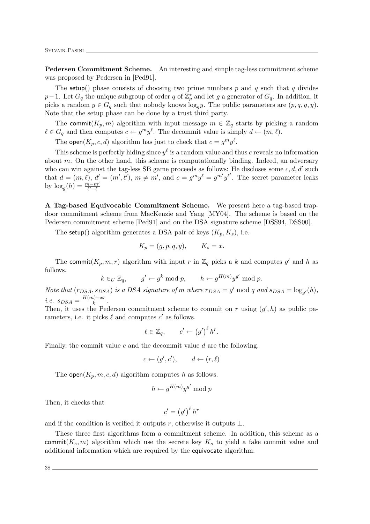Sylvain Pasini

Pedersen Commitment Scheme. An interesting and simple tag-less commitment scheme was proposed by Pedersen in [Ped91].

The setup() phase consists of choosing two prime numbers  $p$  and  $q$  such that  $q$  divides  $p-1$ . Let  $G_q$  the unique subgroup of order q of  $\mathbb{Z}_p^*$  and let g a generator of  $G_q$ . In addition, it picks a random  $y \in G_q$  such that nobody knows  $\log_q y$ . The public parameters are  $(p, q, g, y)$ . Note that the setup phase can be done by a trust third party.

The commit( $K_p$ , m) algorithm with input message  $m \in \mathbb{Z}_q$  starts by picking a random  $\ell \in G_q$  and then computes  $c \leftarrow g^m y^{\ell}$ . The decommit value is simply  $d \leftarrow (m, \ell)$ .

The open $(K_p, c, d)$  algorithm has just to check that  $c = g^m y^{\ell}$ .

This scheme is perfectly hiding since  $y^{\ell}$  is a random value and thus c reveals no information about  $m$ . On the other hand, this scheme is computationally binding. Indeed, an adversary who can win against the tag-less SB game proceeds as follows: He discloses some  $c, d, d'$  such that  $d = (m, \ell), d' = (m', \ell'), m \neq m'$ , and  $c = g^m y^\ell = g^{m'} y^{\ell'}$ . The secret parameter leaks by  $\log_g(h) = \frac{m - m'}{\ell' - \ell}$ 

A Tag-based Equivocable Commitment Scheme. We present here a tag-based trapdoor commitment scheme from MacKenzie and Yang [MY04]. The scheme is based on the Pedersen commitment scheme [Ped91] and on the DSA signature scheme [DSS94, DSS00].

The setup() algorithm generates a DSA pair of keys  $(K_p, K_s)$ , i.e.

$$
K_p = (g, p, q, y), \qquad K_s = x.
$$

The commit $(K_p, m, r)$  algorithm with input r in  $\mathbb{Z}_q$  picks a k and computes g' and h as follows.

$$
k \in U \mathbb{Z}_q
$$
,  $g' \leftarrow g^k \mod p$ ,  $h \leftarrow g^{H(m)} y^{g'} \mod p$ .

Note that  $(r_{DSA}, s_{DSA})$  is a DSA signature of m where  $r_{DSA} = g' \mod q$  and  $s_{DSA} = \log_{g'}(h)$ , *i.e.*  $s_{DSA} = \frac{H(m)+xr}{k}$  $\frac{\hbar x}{k}$ .

Then, it uses the Pedersen commitment scheme to commit on r using  $(g', h)$  as public parameters, i.e. it picks  $\ell$  and computes  $c'$  as follows.

$$
\ell \in \mathbb{Z}_q, \qquad c' \leftarrow (g')^{\ell} h^r.
$$

Finally, the commit value  $c$  and the decommit value  $d$  are the following.

$$
c \leftarrow (g', c'), \qquad d \leftarrow (r, \ell)
$$

The open $(K_p, m, c, d)$  algorithm computes h as follows.

$$
h \leftarrow g^{H(m)} y^{g'} \bmod p
$$

Then, it checks that

$$
c' = (g')^{\ell} h^r
$$

and if the condition is verified it outputs r, otherwise it outputs  $\bot$ .

These three first algorithms form a commitment scheme. In addition, this scheme as a  $\overline{\text{commit}}(K_s, m)$  algorithm which use the secrete key  $K_s$  to yield a fake commit value and additional information which are required by the equivocate algorithm.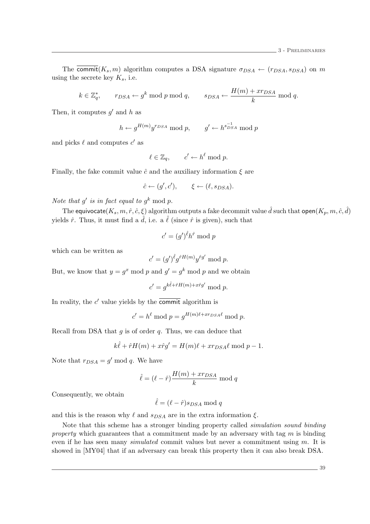The commit( $K_s$ , m) algorithm computes a DSA signature  $\sigma_{DSA} \leftarrow (r_{DSA}, s_{DSA})$  on m using the secrete key  $K_s$ , i.e.

 $k \in \mathbb{Z}_q^*,$   $r_{DSA} \leftarrow g^k \bmod p \bmod q,$   $s_{DSA} \leftarrow \frac{H(m) + xr_{DSA}}{k}$  $\frac{k}{k}$  mod q.

Then, it computes  $g'$  and h as

$$
h \leftarrow g^{H(m)} y^{r_{DSA}} \bmod p, \qquad g' \leftarrow h^{s_{DSA}^{-1}} \bmod p
$$

and picks  $\ell$  and computes  $c'$  as

$$
\ell\in\mathbb{Z}_q,\qquad c'\leftarrow h^{\ell} \bmod p.
$$

Finally, the fake commit value  $\hat{c}$  and the auxiliary information  $\xi$  are

$$
\hat{c} \leftarrow (g', c'), \qquad \xi \leftarrow (\ell, s_{DSA}).
$$

Note that g' is in fact equal to  $g^k \mod p$ .

The equivocate $(K_s, m, \hat{r}, \hat{c}, \xi)$  algorithm outputs a fake decommit value  $\hat{d}$  such that open $(K_p, m, \hat{c}, \hat{d})$ yields  $\hat{r}$ . Thus, it must find a  $\hat{d}$ , i.e. a  $\hat{\ell}$  (since  $\hat{r}$  is given), such that

$$
c' = (g')^{\hat{\ell}} h^{\hat{r}} \bmod p
$$

which can be written as

$$
c' = (g')^{\hat{\ell}} g^{\hat{r}H(m)} y^{\hat{r}g'} \bmod p.
$$

But, we know that  $y = g^x \mod p$  and  $g' = g^k \mod p$  and we obtain

$$
c' = g^{k\hat{\ell} + \hat{r}H(m) + x\hat{r}g'} \mod p.
$$

In reality, the  $c'$  value yields by the commit algorithm is

$$
c' = h^{\ell} \bmod p = g^{H(m)\ell + xr_{DSA}\ell} \bmod p.
$$

Recall from DSA that  $g$  is of order  $q$ . Thus, we can deduce that

$$
k\hat{\ell} + \hat{r}H(m) + x\hat{r}g' = H(m)\ell + xr_{DSA}\ell \text{ mod } p-1.
$$

Note that  $r_{DSA} = g' \mod q$ . We have

$$
\hat{\ell} = (\ell - \hat{r}) \frac{H(m) + x r_{DSA}}{k} \text{ mod } q
$$

Consequently, we obtain

$$
\hat{\ell} = (\ell - \hat{r})s_{DSA} \bmod q
$$

and this is the reason why  $\ell$  and  $s_{DSA}$  are in the extra information  $\xi$ .

Note that this scheme has a stronger binding property called simulation sound binding property which guarantees that a commitment made by an adversary with tag  $m$  is binding even if he has seen many *simulated* commit values but never a commitment using  $m$ . It is showed in [MY04] that if an adversary can break this property then it can also break DSA.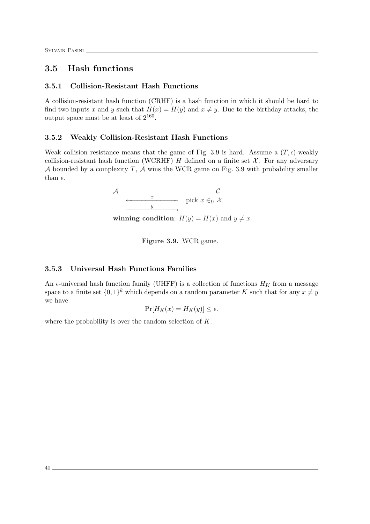## 3.5 Hash functions

#### 3.5.1 Collision-Resistant Hash Functions

A collision-resistant hash function (CRHF) is a hash function in which it should be hard to find two inputs x and y such that  $H(x) = H(y)$  and  $x \neq y$ . Due to the birthday attacks, the output space must be at least of  $2^{160}$ .

#### 3.5.2 Weakly Collision-Resistant Hash Functions

Weak collision resistance means that the game of Fig. 3.9 is hard. Assume a  $(T, \epsilon)$ -weakly collision-resistant hash function (WCRHF) H defined on a finite set  $\mathcal{X}$ . For any adversary A bounded by a complexity  $T$ ,  $A$  wins the WCR game on Fig. 3.9 with probability smaller than  $\epsilon$ .

> $\mathcal A$  c  $\longleftrightarrow$  pick  $x \in U$  X winning condition:  $H(y) = H(x)$  and  $y \neq x$

> > Figure 3.9. WCR game.

#### 3.5.3 Universal Hash Functions Families

An  $\epsilon$ -universal hash function family (UHFF) is a collection of functions  $H_K$  from a message space to a finite set  $\{0,1\}^k$  which depends on a random parameter K such that for any  $x \neq y$ we have

$$
\Pr[H_K(x) = H_K(y)] \le \epsilon.
$$

where the probability is over the random selection of  $K$ .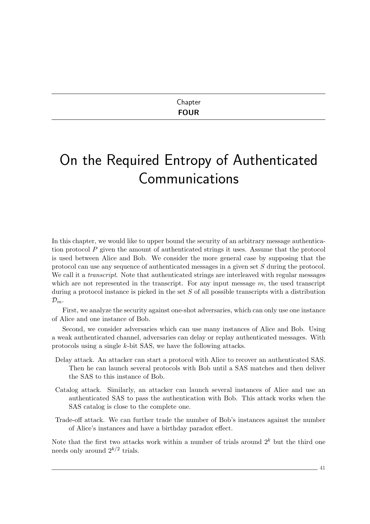| Chapter     |  |
|-------------|--|
| <b>FOUR</b> |  |

# On the Required Entropy of Authenticated Communications

In this chapter, we would like to upper bound the security of an arbitrary message authentication protocol P given the amount of authenticated strings it uses. Assume that the protocol is used between Alice and Bob. We consider the more general case by supposing that the protocol can use any sequence of authenticated messages in a given set S during the protocol. We call it a *transcript*. Note that authenticated strings are interleaved with regular messages which are not represented in the transcript. For any input message  $m$ , the used transcript during a protocol instance is picked in the set  $S$  of all possible transcripts with a distribution  $\mathcal{D}_m$ .

First, we analyze the security against one-shot adversaries, which can only use one instance of Alice and one instance of Bob.

Second, we consider adversaries which can use many instances of Alice and Bob. Using a weak authenticated channel, adversaries can delay or replay authenticated messages. With protocols using a single k-bit SAS, we have the following attacks.

- Delay attack. An attacker can start a protocol with Alice to recover an authenticated SAS. Then he can launch several protocols with Bob until a SAS matches and then deliver the SAS to this instance of Bob.
- Catalog attack. Similarly, an attacker can launch several instances of Alice and use an authenticated SAS to pass the authentication with Bob. This attack works when the SAS catalog is close to the complete one.
- Trade-off attack. We can further trade the number of Bob's instances against the number of Alice's instances and have a birthday paradox effect.

Note that the first two attacks work within a number of trials around  $2^k$  but the third one needs only around  $2^{k/2}$  trials.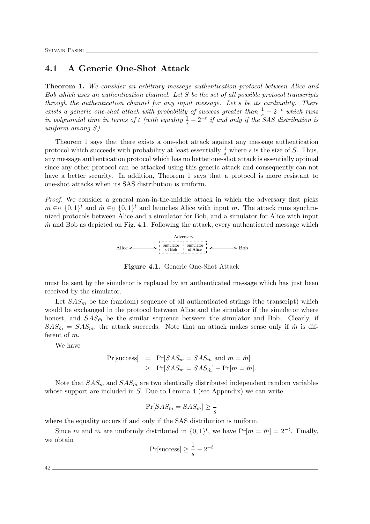### 4.1 A Generic One-Shot Attack

Theorem 1. We consider an arbitrary message authentication protocol between Alice and Bob which uses an authentication channel. Let S be the set of all possible protocol transcripts through the authentication channel for any input message. Let s be its cardinality. There exists a generic one-shot attack with probability of success greater than  $\frac{1}{s} - 2^{-t}$  which runs in polynomial time in terms of t (with equality  $\frac{1}{s} - 2^{-t}$  if and only if the SAS distribution is uniform among S).

Theorem 1 says that there exists a one-shot attack against any message authentication protocol which succeeds with probability at least essentially  $\frac{1}{s}$  where s is the size of S. Thus, any message authentication protocol which has no better one-shot attack is essentially optimal since any other protocol can be attacked using this generic attack and consequently can not have a better security. In addition, Theorem 1 says that a protocol is more resistant to one-shot attacks when its SAS distribution is uniform.

Proof. We consider a general man-in-the-middle attack in which the adversary first picks  $m \in U$   $\{0,1\}^t$  and  $\hat{m} \in U$   $\{0,1\}^t$  and launches Alice with input m. The attack runs synchronized protocols between Alice and a simulator for Bob, and a simulator for Alice with input  $\hat{m}$  and Bob as depicted on Fig. 4.1. Following the attack, every authenticated message which



Figure 4.1. Generic One-Shot Attack

must be sent by the simulator is replaced by an authenticated message which has just been received by the simulator.

Let  $SAS_m$  be the (random) sequence of all authenticated strings (the transcript) which would be exchanged in the protocol between Alice and the simulator if the simulator where honest, and  $SAS_{\hat{m}}$  be the similar sequence between the simulator and Bob. Clearly, if  $SAS_{\hat{m}} = SAS_m$ , the attack succeeds. Note that an attack makes sense only if  $\hat{m}$  is different of m.

We have

$$
Pr[success] = Pr[ SAS_m = SAS_{\hat{m}} \text{ and } m = \hat{m}]
$$
  
\n
$$
\geq Pr[ SAS_m = SAS_{\hat{m}}] - Pr[m = \hat{m}].
$$

Note that  $SAS_m$  and  $SAS_m$  are two identically distributed independent random variables whose support are included in  $S$ . Due to Lemma 4 (see Appendix) we can write

$$
\Pr[ SAS_m = SAS_{\hat{m}}] \ge \frac{1}{s}
$$

where the equality occurs if and only if the SAS distribution is uniform.

Since m and  $\hat{m}$  are uniformly distributed in  $\{0,1\}^t$ , we have  $Pr[m = \hat{m}] = 2^{-t}$ . Finally, we obtain

$$
\Pr[\text{success}] \ge \frac{1}{s} - 2^{-t}
$$

42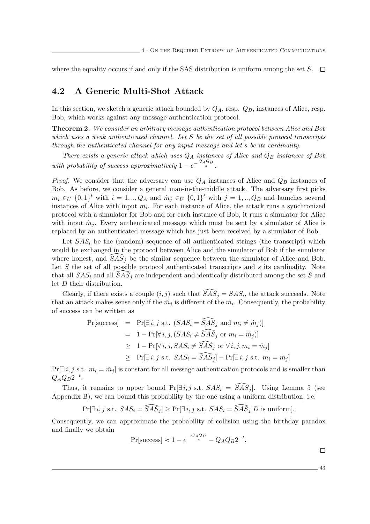4 - On the Required Entropy of Authenticated Communications

where the equality occurs if and only if the SAS distribution is uniform among the set  $S$ .  $\Box$ 

#### 4.2 A Generic Multi-Shot Attack

In this section, we sketch a generic attack bounded by  $Q_A$ , resp.  $Q_B$ , instances of Alice, resp. Bob, which works against any message authentication protocol.

Theorem 2. We consider an arbitrary message authentication protocol between Alice and Bob which uses a weak authenticated channel. Let  $S$  be the set of all possible protocol transcripts through the authenticated channel for any input message and let s be its cardinality.

There exists a generic attack which uses  $Q_A$  instances of Alice and  $Q_B$  instances of Bob with probability of success approximatively  $1 - e^{-\frac{Q_A Q_B}{s}}$ .

*Proof.* We consider that the adversary can use  $Q_A$  instances of Alice and  $Q_B$  instances of Bob. As before, we consider a general man-in-the-middle attack. The adversary first picks  $m_i \in U$   $\{0,1\}^t$  with  $i = 1,..,Q_A$  and  $\hat{m}_j \in U$   $\{0,1\}^t$  with  $j = 1,..,Q_B$  and launches several instances of Alice with input  $m_i$ . For each instance of Alice, the attack runs a synchronized protocol with a simulator for Bob and for each instance of Bob, it runs a simulator for Alice with input  $\hat{m}_i$ . Every authenticated message which must be sent by a simulator of Alice is replaced by an authenticated message which has just been received by a simulator of Bob.

Let  $SAS_i$  be the (random) sequence of all authenticated strings (the transcript) which would be exchanged in the protocol between Alice and the simulator of Bob if the simulator where honest, and  $SAS_j$  be the similar sequence between the simulator of Alice and Bob. Let S the set of all possible protocol authenticated transcripts and s its cardinality. Note that all  $SAS_i$  and all  $\widetilde{SAS}_i$  are independent and identically distributed among the set S and let D their distribution.

Clearly, if there exists a couple  $(i, j)$  such that  $\widehat{SAS}_j = SAS_i$ , the attack succeeds. Note that an attack makes sense only if the  $\hat{m}_j$  is different of the  $m_i$ . Consequently, the probability of success can be written as

$$
Pr[\text{success}] = Pr[\exists i, j \text{ s.t. } (SAS_i = \widehat{SAS}_j \text{ and } m_i \neq \hat{m}_j)]
$$
  
= 1 - Pr[\forall i, j, (SAS\_i \neq \widehat{SAS}\_j \text{ or } m\_i = \hat{m}\_j)]  

$$
\geq 1 - Pr[\forall i, j, SAS_i \neq \widehat{SAS}_j \text{ or } \forall i, j, m_i = \hat{m}_j]
$$
  

$$
\geq Pr[\exists i, j \text{ s.t. } SAS_i = \widehat{SAS}_j] - Pr[\exists i, j \text{ s.t. } m_i = \hat{m}_j]
$$

 $Pr[\exists i, j \text{ s.t. } m_i = \hat{m}_j]$  is constant for all message authentication protocols and is smaller than  $Q_A Q_B 2^{-t}$ .

Thus, it remains to upper bound  $Pr[\exists i, j \text{ s.t. } SAS_i = \overline{SAS}_i].$  Using Lemma 5 (see Appendix B), we can bound this probability by the one using a uniform distribution, i.e.

$$
\Pr[\exists i, j \text{ s.t. } SAS_i = \widehat{SAS}_j] \ge \Pr[\exists i, j \text{ s.t. } SAS_i = \widehat{SAS}_j | D \text{ is uniform}].
$$

Consequently, we can approximate the probability of collision using the birthday paradox and finally we obtain

$$
\Pr[\text{success}] \approx 1 - e^{-\frac{Q_A Q_B}{s}} - Q_A Q_B 2^{-t}.
$$

 $\Box$ 

43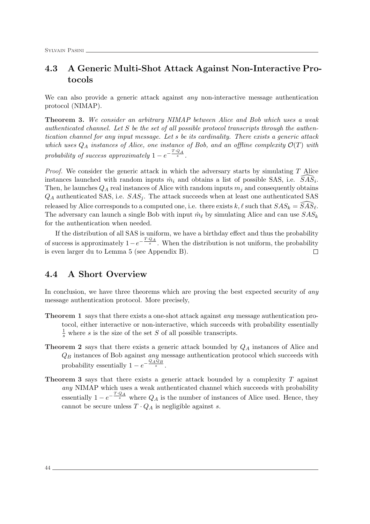## 4.3 A Generic Multi-Shot Attack Against Non-Interactive Protocols

We can also provide a generic attack against *any* non-interactive message authentication protocol (NIMAP).

Theorem 3. We consider an arbitrary NIMAP between Alice and Bob which uses a weak authenticated channel. Let  $S$  be the set of all possible protocol transcripts through the authentication channel for any input message. Let s be its cardinality. There exists a generic attack which uses  $Q_A$  instances of Alice, one instance of Bob, and an offline complexity  $\mathcal{O}(T)$  with probability of success approximately  $1 - e^{-\frac{T \cdot Q_A}{s}}$ .

*Proof.* We consider the generic attack in which the adversary starts by simulating  $T$  Alice instances launched with random inputs  $\hat{m}_i$  and obtains a list of possible SAS, i.e.  $\widehat{SAS}_i$ . Then, he launches  $Q_A$  real instances of Alice with random inputs  $m_i$  and consequently obtains  $Q_A$  authenticated SAS, i.e.  $SAS_i$ . The attack succeeds when at least one authenticated SAS released by Alice corresponds to a computed one, i.e. there exists  $k, \ell$  such that  $SAS_k = \widehat{SAS}_\ell$ . The adversary can launch a single Bob with input  $\hat{m}_\ell$  by simulating Alice and can use  $SAS_k$ for the authentication when needed.

If the distribution of all SAS is uniform, we have a birthday effect and thus the probability of success is approximately  $1-e^{-\frac{T \cdot Q_A}{s}}$ . When the distribution is not uniform, the probability is even larger du to Lemma 5 (see Appendix B).  $\Box$ 

#### 4.4 A Short Overview

In conclusion, we have three theorems which are proving the best expected security of any message authentication protocol. More precisely,

- Theorem 1 says that there exists a one-shot attack against any message authentication protocol, either interactive or non-interactive, which succeeds with probability essentially  $\frac{1}{s}$  where s is the size of the set S of all possible transcripts.
- **Theorem 2** says that there exists a generic attack bounded by  $Q_A$  instances of Alice and  $Q_B$  instances of Bob against *any* message authentication protocol which succeeds with probability essentially  $1 - e^{-\frac{Q_A \bar{Q}_B}{s}}$ .
- **Theorem 3** says that there exists a generic attack bounded by a complexity  $T$  against any NIMAP which uses a weak authenticated channel which succeeds with probability essentially  $1 - e^{-\frac{T \cdot Q_A}{s}}$  where  $Q_A$  is the number of instances of Alice used. Hence, they cannot be secure unless  $T \cdot Q_A$  is negligible against s.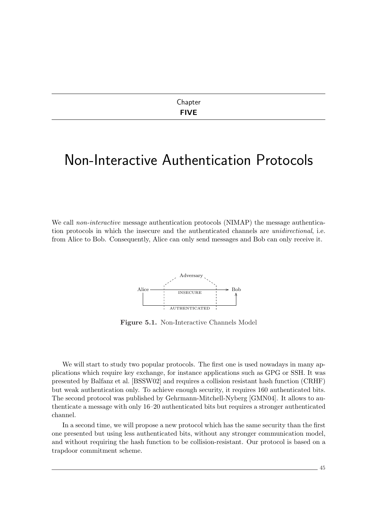| Chapter     |  |
|-------------|--|
| <b>FIVE</b> |  |

# Non-Interactive Authentication Protocols

We call *non-interactive* message authentication protocols (NIMAP) the message authentication protocols in which the insecure and the authenticated channels are unidirectional, i.e. from Alice to Bob. Consequently, Alice can only send messages and Bob can only receive it.



Figure 5.1. Non-Interactive Channels Model

We will start to study two popular protocols. The first one is used nowadays in many applications which require key exchange, for instance applications such as GPG or SSH. It was presented by Balfanz et al. [BSSW02] and requires a collision resistant hash function (CRHF) but weak authentication only. To achieve enough security, it requires 160 authenticated bits. The second protocol was published by Gehrmann-Mitchell-Nyberg [GMN04]. It allows to authenticate a message with only 16–20 authenticated bits but requires a stronger authenticated channel.

In a second time, we will propose a new protocol which has the same security than the first one presented but using less authenticated bits, without any stronger communication model, and without requiring the hash function to be collision-resistant. Our protocol is based on a trapdoor commitment scheme.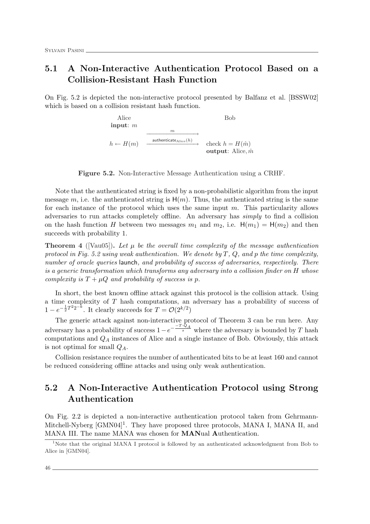# 5.1 A Non-Interactive Authentication Protocol Based on a Collision-Resistant Hash Function

On Fig. 5.2 is depicted the non-interactive protocol presented by Balfanz et al. [BSSW02] which is based on a collision resistant hash function.

> Alice Bob input: m  $m \longrightarrow$  $h \leftarrow H(m)$  $\mathsf{authenticate}_{\mathrm{Alice}}(h)$  $\text{check } h = H(\hat{m})$ output: Alice,  $\hat{m}$



Note that the authenticated string is fixed by a non-probabilistic algorithm from the input message m, i.e. the authenticated string is  $H(m)$ . Thus, the authenticated string is the same for each instance of the protocol which uses the same input  $m$ . This particularity allows adversaries to run attacks completely offline. An adversary has simply to find a collision on the hash function H between two messages  $m_1$  and  $m_2$ , i.e.  $H(m_1) = H(m_2)$  and then succeeds with probability 1.

**Theorem 4** ([Vau05]). Let  $\mu$  be the overall time complexity of the message authentication protocol in Fig. 5.2 using weak authentication. We denote by  $T$ ,  $Q$ , and  $p$  the time complexity, number of oracle queries launch, and probability of success of adversaries, respectively. There is a generic transformation which transforms any adversary into a collision finder on H whose complexity is  $T + \mu Q$  and probability of success is p.

In short, the best known offline attack against this protocol is the collision attack. Using a time complexity of T hash computations, an adversary has a probability of success of  $1-e^{-\frac{1}{2}T^22^{-k}}$ . It clearly succeeds for  $T=\mathcal{O}(2^{k/2})$ 

The generic attack against non-interactive protocol of Theorem 3 can be run here. Any adversary has a probability of success  $1-e^{-\frac{-T \cdot Q_A}{s}}$  where the adversary is bounded by T hash computations and  $Q_A$  instances of Alice and a single instance of Bob. Obviously, this attack is not optimal for small  $Q_A$ .

Collision resistance requires the number of authenticated bits to be at least 160 and cannot be reduced considering offline attacks and using only weak authentication.

# 5.2 A Non-Interactive Authentication Protocol using Strong Authentication

On Fig. 2.2 is depicted a non-interactive authentication protocol taken from Gehrmann-Mitchell-Nyberg [GMN04]<sup>1</sup>. They have proposed three protocols, MANA I, MANA II, and MANA III. The name MANA was chosen for MANual Authentication.

<sup>&</sup>lt;sup>1</sup>Note that the original MANA I protocol is followed by an authenticated acknowledgment from Bob to Alice in [GMN04].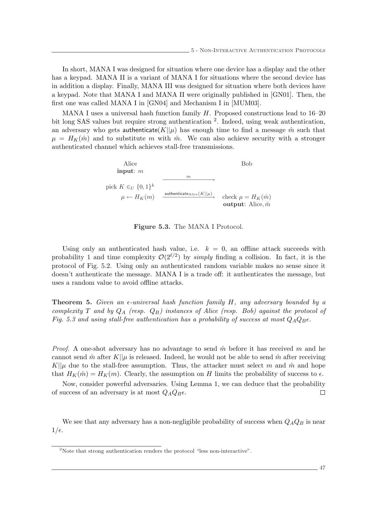In short, MANA I was designed for situation where one device has a display and the other has a keypad. MANA II is a variant of MANA I for situations where the second device has in addition a display. Finally, MANA III was designed for situation where both devices have a keypad. Note that MANA I and MANA II were originally published in [GN01]. Then, the first one was called MANA I in [GN04] and Mechanism I in [MUM03].

MANA I uses a universal hash function family  $H$ . Proposed constructions lead to 16–20 bit long SAS values but require strong authentication<sup>2</sup>. Indeed, using weak authentication, an adversary who gets authenticate $(K||\mu)$  has enough time to find a message  $\hat{m}$  such that  $\mu = H_K(\hat{m})$  and to substitute m with  $\hat{m}$ . We can also achieve security with a stronger authenticated channel which achieves stall-free transmissions.

> Alice Bob input: m  $m \longrightarrow$ pick  $K \in U$   $\{0,1\}^k$  $\mu \leftarrow H_K(m)$ authenticate $_{\rm Alice}(K||\mu)$ check  $\mu = H_K(\hat{m})$ output: Alice,  $\hat{m}$

Figure 5.3. The MANA I Protocol.

Using only an authenticated hash value, i.e.  $k = 0$ , an offline attack succeeds with probability 1 and time complexity  $\mathcal{O}(2^{\ell/2})$  by simply finding a collision. In fact, it is the protocol of Fig. 5.2. Using only an authenticated random variable makes no sense since it doesn't authenticate the message. MANA I is a trade off: it authenticates the message, but uses a random value to avoid offline attacks.

**Theorem 5.** Given an  $\epsilon$ -universal hash function family H, any adversary bounded by a complexity T and by  $Q_A$  (resp.  $Q_B$ ) instances of Alice (resp. Bob) against the protocol of Fig. 5.3 and using stall-free authentication has a probability of success at most  $Q_A Q_B \epsilon$ .

*Proof.* A one-shot adversary has no advantage to send  $\hat{m}$  before it has received m and he cannot send  $\hat{m}$  after K|| $\mu$  is released. Indeed, he would not be able to send  $\hat{m}$  after receiving  $K||\mu$  due to the stall-free assumption. Thus, the attacker must select m and  $\hat{m}$  and hope that  $H_K(\hat{m}) = H_K(m)$ . Clearly, the assumption on H limits the probability of success to  $\epsilon$ .

Now, consider powerful adversaries. Using Lemma 1, we can deduce that the probability of success of an adversary is at most  $Q_A Q_B \epsilon$ .  $\Box$ 

We see that any adversary has a non-negligible probability of success when  $Q_A Q_B$  is near  $1/\epsilon$ .

<sup>2</sup>Note that strong authentication renders the protocol "less non-interactive".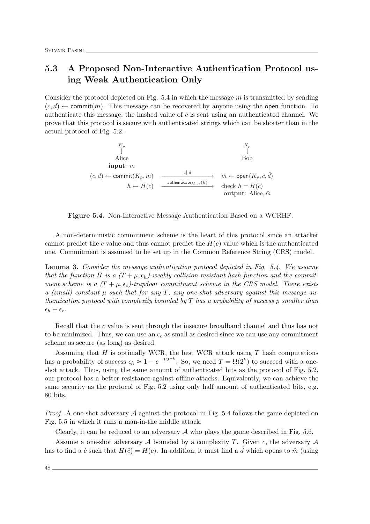Sylvain Pasini

# 5.3 A Proposed Non-Interactive Authentication Protocol using Weak Authentication Only

Consider the protocol depicted on Fig. 5.4 in which the message  $m$  is transmitted by sending  $(c, d) \leftarrow$  commit $(m)$ . This message can be recovered by anyone using the open function. To authenticate this message, the hashed value of  $c$  is sent using an authenticated channel. We prove that this protocol is secure with authenticated strings which can be shorter than in the actual protocol of Fig. 5.2.

> $K_p$ ↓  $K_p$ Alice Bob input: m  $(c, d) \leftarrow \textsf{commit}(K_p, m) \quad \xrightarrow{c||d} \quad \hat{m} \leftarrow \textsf{open}(K_p, \hat{c}, \hat{d})$  $h \leftarrow H(c)$  authenticate Alice  $(h)$  check  $h = H(\hat{c})$ output: Alice,  $\hat{m}$

Figure 5.4. Non-Interactive Message Authentication Based on a WCRHF.

A non-deterministic commitment scheme is the heart of this protocol since an attacker cannot predict the c value and thus cannot predict the  $H(c)$  value which is the authenticated one. Commitment is assumed to be set up in the Common Reference String (CRS) model.

Lemma 3. Consider the message authentication protocol depicted in Fig. 5.4. We assume that the function H is a  $(T + \mu, \epsilon_h)$ -weakly collision resistant hash function and the commitment scheme is a  $(T + \mu, \epsilon_c)$ -trapdoor commitment scheme in the CRS model. There exists a (small) constant  $\mu$  such that for any T, any one-shot adversary against this message authentication protocol with complexity bounded by  $T$  has a probability of success p smaller than  $\epsilon_h + \epsilon_c$ .

Recall that the c value is sent through the insecure broadband channel and thus has not to be minimized. Thus, we can use an  $\epsilon_c$  as small as desired since we can use any commitment scheme as secure (as long) as desired.

Assuming that  $H$  is optimally WCR, the best WCR attack using  $T$  hash computations has a probability of success  $\epsilon_h \approx 1 - e^{-T2^{-k}}$ . So, we need  $T = \Omega(2^k)$  to succeed with a oneshot attack. Thus, using the same amount of authenticated bits as the protocol of Fig. 5.2, our protocol has a better resistance against offline attacks. Equivalently, we can achieve the same security as the protocol of Fig. 5.2 using only half amount of authenticated bits, e.g. 80 bits.

*Proof.* A one-shot adversary  $\mathcal A$  against the protocol in Fig. 5.4 follows the game depicted on Fig. 5.5 in which it runs a man-in-the middle attack.

Clearly, it can be reduced to an adversary  $A$  who plays the game described in Fig. 5.6.

Assume a one-shot adversary A bounded by a complexity T. Given c, the adversary A has to find a  $\hat{c}$  such that  $H(\hat{c}) = H(c)$ . In addition, it must find a d which opens to  $\hat{m}$  (using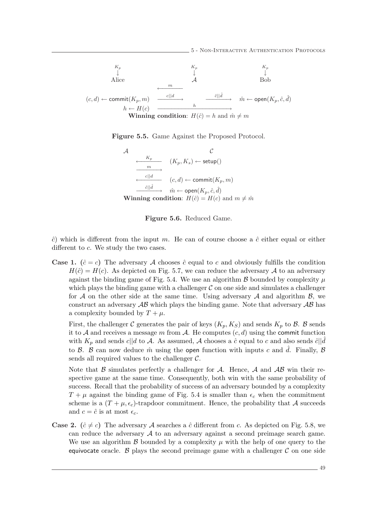



$$
\begin{array}{ccc}\n\mathcal{A} & & \mathcal{C} \\
\xrightarrow{K_p} & (K_p, K_s) \leftarrow \text{setup}() \\
\hline\n\end{array}
$$
\n
$$
\begin{array}{ccc}\n\text{cl}|d & & (c, d) \leftarrow \text{commit}(K_p, m) \\
\hline\n\hat{e}||\hat{d} & & \hat{m} \leftarrow \text{open}(K_p, \hat{c}, \hat{d}) \\
\text{Winning condition: } H(\hat{c}) = H(c) \text{ and } m \neq \hat{m}\n\end{array}
$$



 $\hat{c}$ ) which is different from the input m. He can of course choose a  $\hat{c}$  either equal or either different to c. We study the two cases.

**Case 1.**  $(\hat{c} = c)$  The adversary A chooses  $\hat{c}$  equal to c and obviously fulfills the condition  $H(\hat{c}) = H(c)$ . As depicted on Fig. 5.7, we can reduce the adversary A to an adversary against the binding game of Fig. 5.4. We use an algorithm  $\beta$  bounded by complexity  $\mu$ which plays the binding game with a challenger  $C$  on one side and simulates a challenger for A on the other side at the same time. Using adversary A and algorithm  $\beta$ , we construct an adversary  $\mathcal{AB}$  which plays the binding game. Note that adversary  $\mathcal{AB}$  has a complexity bounded by  $T + \mu$ .

First, the challenger C generates the pair of keys  $(K_p, K_S)$  and sends  $K_p$  to B. B sends it to A and receives a message m from A. He computes  $(c, d)$  using the commit function with  $K_p$  and sends  $c||d$  to A. As assumed, A chooses a  $\hat{c}$  equal to c and also sends  $\hat{c}||d$ to B. B can now deduce  $\hat{m}$  using the open function with inputs c and  $\hat{d}$ . Finally, B sends all required values to the challenger  $\mathcal{C}$ .

Note that  $\beta$  simulates perfectly a challenger for  $\mathcal{A}$ . Hence,  $\mathcal{A}$  and  $\mathcal{A}\mathcal{B}$  win their respective game at the same time. Consequently, both win with the same probability of success. Recall that the probability of success of an adversary bounded by a complexity  $T + \mu$  against the binding game of Fig. 5.4 is smaller than  $\epsilon_c$  when the commitment scheme is a  $(T + \mu, \epsilon_c)$ -trapdoor commitment. Hence, the probability that A succeeds and  $c = \hat{c}$  is at most  $\epsilon_c$ .

**Case 2.**  $(\hat{c} \neq c)$  The adversary A searches a  $\hat{c}$  different from c. As depicted on Fig. 5.8, we can reduce the adversary  $A$  to an adversary against a second preimage search game. We use an algorithm  $\beta$  bounded by a complexity  $\mu$  with the help of one query to the equivocate oracle.  $\beta$  plays the second preimage game with a challenger  $\mathcal C$  on one side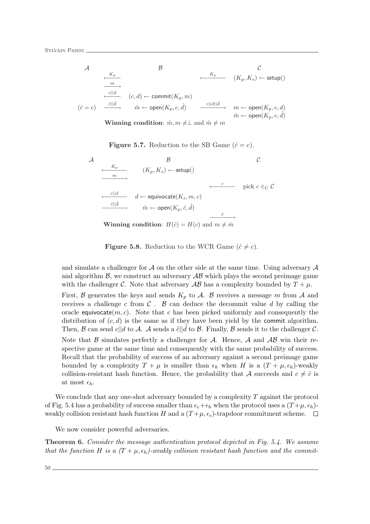$$
\begin{array}{ccccc}\n\mathcal{A} & & & \mathcal{B} & & & \mathcal{C} \\
\hline\n\frac{m}{m} & & & & & (K_p, K_s) \leftarrow \text{setup} & & \\
\hline\n\frac{c||d}{m} & & & & (c, d) \leftarrow \text{commit}(K_p, m) & & \\
\hat{c} = c) & & \xrightarrow{\hat{c}||\hat{d}} & & \hat{m} \leftarrow \text{open}(K_p, c, \hat{d}) & & \xrightarrow{\text{cell}||\hat{d}} & & \hat{m} \leftarrow \text{open}(K_p, c, \hat{d}) \\
\hat{m} & & & & \hat{m} \leftarrow \text{open}(K_p, c, \hat{d}) & & \\
\end{array}
$$

Winning condition:  $\hat{m}, m \neq \perp$  and  $\hat{m} \neq m$ 

**Figure 5.7.** Reduction to the SB Game ( $\hat{c} = c$ ).

$$
\begin{array}{ccc}\n\mathcal{A} & \mathcal{B} & \mathcal{C} \\
\hline\n\frac{m}{m} & (K_p, K_s) \leftarrow \text{setup}() & \\
\downarrow \\
\hline\n\frac{c||d}{m} & d \leftarrow \text{equivocate}(K_s, m, c) & \\
\hline\n\hat{m} \leftarrow \text{open}(K_p, \hat{c}, \hat{d}) & \\
\hline\n\end{array}
$$

**Winning condition:**  $H(\hat{c}) = H(c)$  and  $m \neq \hat{m}$ 

**Figure 5.8.** Reduction to the WCR Game ( $\hat{c} \neq c$ ).

and simulate a challenger for  $A$  on the other side at the same time. Using adversary  $A$ and algorithm  $\beta$ , we construct an adversary  $\mathcal{AB}$  which plays the second preimage game with the challenger C. Note that adversary  $\mathcal{AB}$  has a complexity bounded by  $T + \mu$ .

First, B generates the keys and sends  $K_p$  to A. B receives a message m from A and receives a challenge c from  $\mathcal C$ .  $\mathcal B$  can deduce the decommit value d by calling the oracle equivocate $(m, c)$ . Note that c has been picked uniformly and consequently the distribution of  $(c, d)$  is the same as if they have been yield by the commit algorithm. Then, B can send c||d to A. A sends a  $\hat{c}$ ||d to B. Finally, B sends it to the challenger C.

Note that  $\beta$  simulates perfectly a challenger for  $\mathcal{A}$ . Hence,  $\mathcal{A}$  and  $\mathcal{A}\mathcal{B}$  win their respective game at the same time and consequently with the same probability of success. Recall that the probability of success of an adversary against a second preimage game bounded by a complexity  $T + \mu$  is smaller than  $\epsilon_h$  when H is a  $(T + \mu, \epsilon_h)$ -weakly collision-resistant hash function. Hence, the probability that A succeeds and  $c \neq \hat{c}$  is at most  $\epsilon_h$ .

We conclude that any one-shot adversary bounded by a complexity  $T$  against the protocol of Fig. 5.4 has a probability of success smaller than  $\epsilon_c + \epsilon_h$  when the protocol uses a  $(T + \mu, \epsilon_h)$ weakly collision resistant hash function H and a  $(T+\mu, \epsilon_c)$ -trapdoor commitment scheme.

We now consider powerful adversaries.

Theorem 6. Consider the message authentication protocol depicted in Fig. 5.4. We assume that the function H is a  $(T + \mu, \epsilon_h)$ -weakly collision resistant hash function and the commit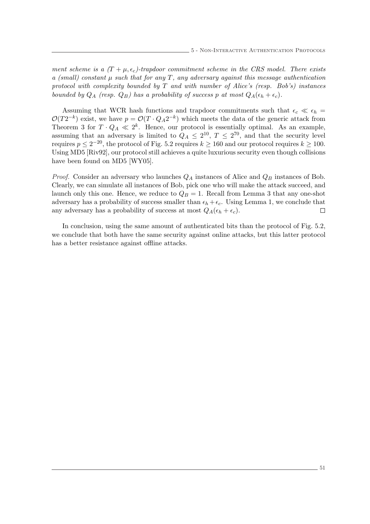ment scheme is a  $(T + \mu, \epsilon_c)$ -trapdoor commitment scheme in the CRS model. There exists a (small) constant  $\mu$  such that for any T, any adversary against this message authentication protocol with complexity bounded by  $T$  and with number of Alice's (resp. Bob's) instances bounded by  $Q_A$  (resp.  $Q_B$ ) has a probability of success p at most  $Q_A(\epsilon_h + \epsilon_c)$ .

Assuming that WCR hash functions and trapdoor commitments such that  $\epsilon_c \ll \epsilon_h$  =  $\mathcal{O}(T2^{-k})$  exist, we have  $p = \mathcal{O}(T \cdot Q_A 2^{-k})$  which meets the data of the generic attack from Theorem 3 for  $T \cdot Q_A \ll 2^k$ . Hence, our protocol is essentially optimal. As an example, assuming that an adversary is limited to  $Q_A \leq 2^{10}$ ,  $T \leq 2^{70}$ , and that the security level requires  $p \le 2^{-20}$ , the protocol of Fig. 5.2 requires  $k \ge 160$  and our protocol requires  $k \ge 100$ . Using MD5 [Riv92], our protocol still achieves a quite luxurious security even though collisions have been found on MD5 [WY05].

*Proof.* Consider an adversary who launches  $Q_A$  instances of Alice and  $Q_B$  instances of Bob. Clearly, we can simulate all instances of Bob, pick one who will make the attack succeed, and launch only this one. Hence, we reduce to  $Q_B = 1$ . Recall from Lemma 3 that any one-shot adversary has a probability of success smaller than  $\epsilon_h + \epsilon_c$ . Using Lemma 1, we conclude that  $\Box$ any adversary has a probability of success at most  $Q_A(\epsilon_h + \epsilon_c)$ .

In conclusion, using the same amount of authenticated bits than the protocol of Fig. 5.2, we conclude that both have the same security against online attacks, but this latter protocol has a better resistance against offline attacks.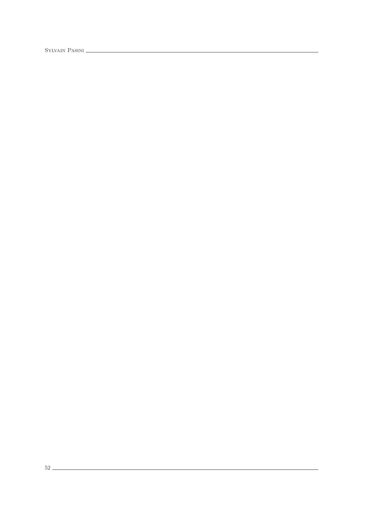Sylvain Pasini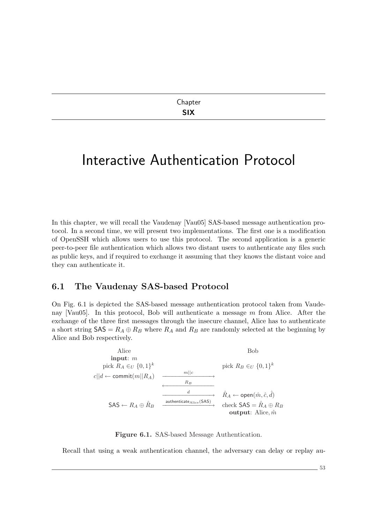| Chapter |
|---------|
| SIX     |

# Interactive Authentication Protocol

In this chapter, we will recall the Vaudenay [Vau05] SAS-based message authentication protocol. In a second time, we will present two implementations. The first one is a modification of OpenSSH which allows users to use this protocol. The second application is a generic peer-to-peer file authentication which allows two distant users to authenticate any files such as public keys, and if required to exchange it assuming that they knows the distant voice and they can authenticate it.

### 6.1 The Vaudenay SAS-based Protocol

On Fig. 6.1 is depicted the SAS-based message authentication protocol taken from Vaudenay [Vau05]. In this protocol, Bob will authenticate a message  $m$  from Alice. After the exchange of the three first messages through the insecure channel, Alice has to authenticate a short string  $SAS = R_A \oplus R_B$  where  $R_A$  and  $R_B$  are randomly selected at the beginning by Alice and Bob respectively.

> Alice Bob input: m pick  $R_A \in U \{0,1\}^k$ k pick  $R_B \in U \{0,1\}^k$  $c||d \leftarrow$  commit $(m||R_A)$  $m||c$  $-$ <del>−−−</del>  $\leftarrow$   $\leftarrow$   $\leftarrow$   $\leftarrow$   $\leftarrow$  $\mathcal{R}_B$  $\stackrel{d}{\longrightarrow}$   $\hat{R}_A \leftarrow$  open $(\hat{m}, \hat{c}, \hat{d})$  $\mathsf{SAS} \leftarrow R_A \oplus \hat{R}_B$  authenticate $_{\mathrm{Alice}}(\mathsf{SAS})$ check  $\mathsf{SAS} = \hat{R}_A \oplus R_B$ output: Alice,  $\hat{m}$

Figure 6.1. SAS-based Message Authentication.

Recall that using a weak authentication channel, the adversary can delay or replay au-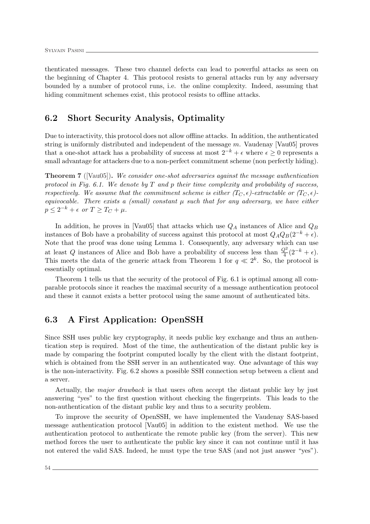thenticated messages. These two channel defects can lead to powerful attacks as seen on the beginning of Chapter 4. This protocol resists to general attacks run by any adversary bounded by a number of protocol runs, i.e. the online complexity. Indeed, assuming that hiding commitment schemes exist, this protocol resists to offline attacks.

#### 6.2 Short Security Analysis, Optimality

Due to interactivity, this protocol does not allow offline attacks. In addition, the authenticated string is uniformly distributed and independent of the message m. Vaudenay [Vau05] proves that a one-shot attack has a probability of success at most  $2^{-k} + \epsilon$  where  $\epsilon \geq 0$  represents a small advantage for attackers due to a non-perfect commitment scheme (non perfectly hiding).

**Theorem 7** ( $[Van05]$ ). We consider one-shot adversaries against the message authentication protocol in Fig. 6.1. We denote by  $T$  and  $p$  their time complexity and probability of success, respectively. We assume that the commitment scheme is either  $(T_C, \epsilon)$ -extractable or  $(T_C, \epsilon)$ equivocable. There exists a (small) constant  $\mu$  such that for any adversary, we have either  $p \leq 2^{-k} + \epsilon \text{ or } T \geq T_C + \mu.$ 

In addition, he proves in [Vau05] that attacks which use  $Q_A$  instances of Alice and  $Q_B$ instances of Bob have a probability of success against this protocol at most  $Q_A Q_B(2^{-k} + \epsilon)$ . Note that the proof was done using Lemma 1. Consequently, any adversary which can use at least Q instances of Alice and Bob have a probability of success less than  $\frac{Q^2}{4}(2^{-k} + \epsilon)$ . This meets the data of the generic attack from Theorem 1 for  $q \ll 2^k$ . So, the protocol is essentially optimal.

Theorem 1 tells us that the security of the protocol of Fig. 6.1 is optimal among all comparable protocols since it reaches the maximal security of a message authentication protocol and these it cannot exists a better protocol using the same amount of authenticated bits.

## 6.3 A First Application: OpenSSH

Since SSH uses public key cryptography, it needs public key exchange and thus an authentication step is required. Most of the time, the authentication of the distant public key is made by comparing the footprint computed locally by the client with the distant footprint, which is obtained from the SSH server in an authenticated way. One advantage of this way is the non-interactivity. Fig. 6.2 shows a possible SSH connection setup between a client and a server.

Actually, the *major drawback* is that users often accept the distant public key by just answering "yes" to the first question without checking the fingerprints. This leads to the non-authentication of the distant public key and thus to a security problem.

To improve the security of OpenSSH, we have implemented the Vaudenay SAS-based message authentication protocol [Vau05] in addition to the existent method. We use the authentication protocol to authenticate the remote public key (from the server). This new method forces the user to authenticate the public key since it can not continue until it has not entered the valid SAS. Indeed, he must type the true SAS (and not just answer "yes").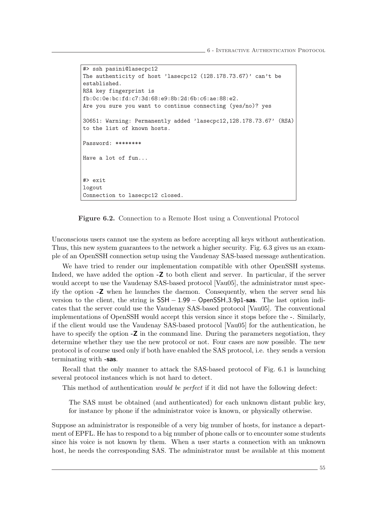```
#> ssh pasini@lasecpc12
The authenticity of host 'lasecpc12 (128.178.73.67)' can't be
established.
RSA key fingerprint is
fb:0c:0e:bc:fd:c7:3d:68:e9:8b:2d:6b:c6:ae:88:e2.
Are you sure you want to continue connecting (yes/no)? yes
30651: Warning: Permanently added 'lasecpc12,128.178.73.67' (RSA)
to the list of known hosts.
Password: ********
Have a lot of fun...
#> exit
logout
Connection to lasecpc12 closed.
```
Figure 6.2. Connection to a Remote Host using a Conventional Protocol

Unconscious users cannot use the system as before accepting all keys without authentication. Thus, this new system guarantees to the network a higher security. Fig. 6.3 gives us an example of an OpenSSH connection setup using the Vaudenay SAS-based message authentication.

We have tried to render our implementation compatible with other OpenSSH systems. Indeed, we have added the option  $-Z$  to both client and server. In particular, if the server would accept to use the Vaudenay SAS-based protocol [Vau05], the administrator must specify the option -Z when he launches the daemon. Consequently, when the server send his version to the client, the string is  $SSH - 1.99 - OpenSSH_3.9p1-sas$ . The last option indicates that the server could use the Vaudenay SAS-based protocol [Vau05]. The conventional implementations of OpenSSH would accept this version since it stops before the -. Similarly, if the client would use the Vaudenay SAS-based protocol [Vau05] for the authentication, he have to specify the option  $-\mathbf{Z}$  in the command line. During the parameters negotiation, they determine whether they use the new protocol or not. Four cases are now possible. The new protocol is of course used only if both have enabled the SAS protocol, i.e. they sends a version terminating with -sas.

Recall that the only manner to attack the SAS-based protocol of Fig. 6.1 is launching several protocol instances which is not hard to detect.

This method of authentication would be perfect if it did not have the following defect:

The SAS must be obtained (and authenticated) for each unknown distant public key, for instance by phone if the administrator voice is known, or physically otherwise.

Suppose an administrator is responsible of a very big number of hosts, for instance a department of EPFL. He has to respond to a big number of phone calls or to encounter some students since his voice is not known by them. When a user starts a connection with an unknown host, he needs the corresponding SAS. The administrator must be available at this moment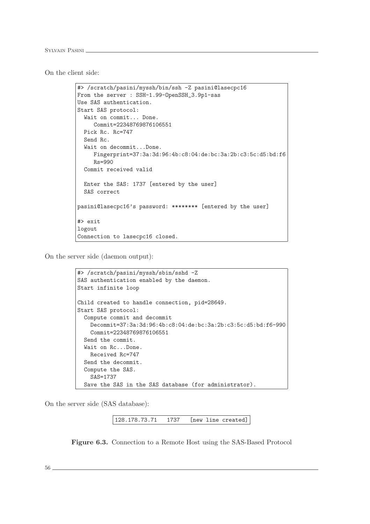SYLVAIN PASINI \_

On the client side:

```
#> /scratch/pasini/myssh/bin/ssh -Z pasini@lasecpc16
From the server : SSH-1.99-OpenSSH_3.9p1-sas
Use SAS authentication.
Start SAS protocol:
  Wait on commit... Done.
    Commit=22348769876106551
 Pick Rc. Rc=747
  Send Rc.
  Wait on decommit...Done.
    Fingerprint=37:3a:3d:96:4b:c8:04:de:bc:3a:2b:c3:5c:d5:bd:f6
    Rs = 990Commit received valid
 Enter the SAS: 1737 [entered by the user]
 SAS correct
pasini@lasecpc16's password: ******** [entered by the user]
#> exit
logout
Connection to lasecpc16 closed.
```
On the server side (daemon output):

```
#> /scratch/pasini/myssh/sbin/sshd -Z
SAS authentication enabled by the daemon.
Start infinite loop
Child created to handle connection, pid=28649.
Start SAS protocol:
  Compute commit and decommit
    Decommit=37:3a:3d:96:4b:c8:04:de:bc:3a:2b:c3:5c:d5:bd:f6-990
    Commit=22348769876106551
  Send the commit.
  Wait on Rc...Done.
    Received Rc=747
  Send the decommit.
  Compute the SAS.
    SAS=1737
  Save the SAS in the SAS database (for administrator).
```
On the server side (SAS database):

128.178.73.71 1737 [new line created]

Figure 6.3. Connection to a Remote Host using the SAS-Based Protocol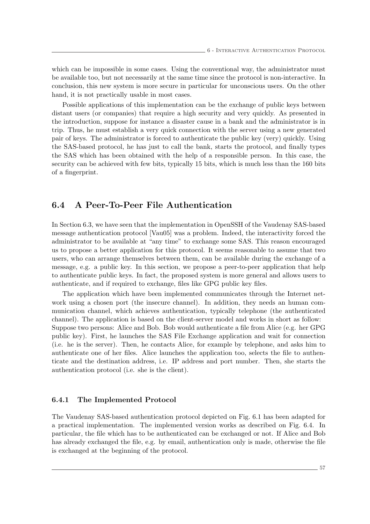which can be impossible in some cases. Using the conventional way, the administrator must be available too, but not necessarily at the same time since the protocol is non-interactive. In conclusion, this new system is more secure in particular for unconscious users. On the other hand, it is not practically usable in most cases.

Possible applications of this implementation can be the exchange of public keys between distant users (or companies) that require a high security and very quickly. As presented in the introduction, suppose for instance a disaster cause in a bank and the administrator is in trip. Thus, he must establish a very quick connection with the server using a new generated pair of keys. The administrator is forced to authenticate the public key (very) quickly. Using the SAS-based protocol, he has just to call the bank, starts the protocol, and finally types the SAS which has been obtained with the help of a responsible person. In this case, the security can be achieved with few bits, typically 15 bits, which is much less than the 160 bits of a fingerprint.

#### 6.4 A Peer-To-Peer File Authentication

In Section 6.3, we have seen that the implementation in OpenSSH of the Vaudenay SAS-based message authentication protocol [Vau05] was a problem. Indeed, the interactivity forced the administrator to be available at "any time" to exchange some SAS. This reason encouraged us to propose a better application for this protocol. It seems reasonable to assume that two users, who can arrange themselves between them, can be available during the exchange of a message, e.g. a public key. In this section, we propose a peer-to-peer application that help to authenticate public keys. In fact, the proposed system is more general and allows users to authenticate, and if required to exchange, files like GPG public key files.

The application which have been implemented communicates through the Internet network using a chosen port (the insecure channel). In addition, they needs an human communication channel, which achieves authentication, typically telephone (the authenticated channel). The application is based on the client-server model and works in short as follow: Suppose two persons: Alice and Bob. Bob would authenticate a file from Alice (e.g. her GPG public key). First, he launches the SAS File Exchange application and wait for connection (i.e. he is the server). Then, he contacts Alice, for example by telephone, and asks him to authenticate one of her files. Alice launches the application too, selects the file to authenticate and the destination address, i.e. IP address and port number. Then, she starts the authentication protocol (i.e. she is the client).

#### 6.4.1 The Implemented Protocol

The Vaudenay SAS-based authentication protocol depicted on Fig. 6.1 has been adapted for a practical implementation. The implemented version works as described on Fig. 6.4. In particular, the file which has to be authenticated can be exchanged or not. If Alice and Bob has already exchanged the file, e.g. by email, authentication only is made, otherwise the file is exchanged at the beginning of the protocol.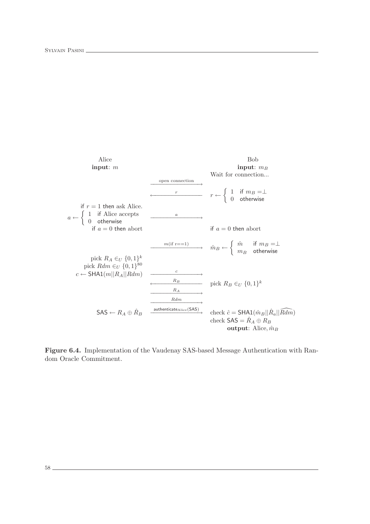

Figure 6.4. Implementation of the Vaudenay SAS-based Message Authentication with Random Oracle Commitment.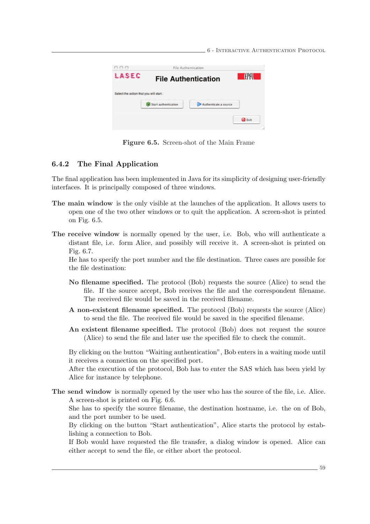6 - Interactive Authentication Protocol

| LASEC |                                         | <b>File Authentication</b> | <b>CPAU</b> |
|-------|-----------------------------------------|----------------------------|-------------|
|       | Select the action that you will start : |                            |             |
|       | Start authentication                    | Authenticate a source      |             |
|       |                                         |                            |             |

Figure 6.5. Screen-shot of the Main Frame

#### 6.4.2 The Final Application

The final application has been implemented in Java for its simplicity of designing user-friendly interfaces. It is principally composed of three windows.

- The main window is the only visible at the launches of the application. It allows users to open one of the two other windows or to quit the application. A screen-shot is printed on Fig. 6.5.
- The receive window is normally opened by the user, i.e. Bob, who will authenticate a distant file, i.e. form Alice, and possibly will receive it. A screen-shot is printed on Fig. 6.7.

He has to specify the port number and the file destination. Three cases are possible for the file destination:

- No filename specified. The protocol (Bob) requests the source (Alice) to send the file. If the source accept, Bob receives the file and the correspondent filename. The received file would be saved in the received filename.
- A non-existent filename specified. The protocol (Bob) requests the source (Alice) to send the file. The received file would be saved in the specified filename.
- An existent filename specified. The protocol (Bob) does not request the source (Alice) to send the file and later use the specified file to check the commit.

By clicking on the button "Waiting authentication", Bob enters in a waiting mode until it receives a connection on the specified port.

After the execution of the protocol, Bob has to enter the SAS which has been yield by Alice for instance by telephone.

The send window is normally opened by the user who has the source of the file, i.e. Alice. A screen-shot is printed on Fig. 6.6.

She has to specify the source filename, the destination hostname, i.e. the on of Bob, and the port number to be used.

By clicking on the button "Start authentication", Alice starts the protocol by establishing a connection to Bob.

If Bob would have requested the file transfer, a dialog window is opened. Alice can either accept to send the file, or either abort the protocol.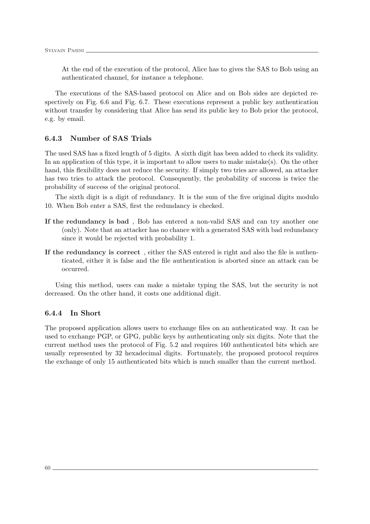At the end of the execution of the protocol, Alice has to gives the SAS to Bob using an authenticated channel, for instance a telephone.

The executions of the SAS-based protocol on Alice and on Bob sides are depicted respectively on Fig. 6.6 and Fig. 6.7. These executions represent a public key authentication without transfer by considering that Alice has send its public key to Bob prior the protocol, e.g. by email.

#### 6.4.3 Number of SAS Trials

The used SAS has a fixed length of 5 digits. A sixth digit has been added to check its validity. In an application of this type, it is important to allow users to make mistake(s). On the other hand, this flexibility does not reduce the security. If simply two tries are allowed, an attacker has two tries to attack the protocol. Consequently, the probability of success is twice the probability of success of the original protocol.

The sixth digit is a digit of redundancy. It is the sum of the five original digits modulo 10. When Bob enter a SAS, first the redundancy is checked.

- If the redundancy is bad , Bob has entered a non-valid SAS and can try another one (only). Note that an attacker has no chance with a generated SAS with bad redundancy since it would be rejected with probability 1.
- If the redundancy is correct , either the SAS entered is right and also the file is authenticated, either it is false and the file authentication is aborted since an attack can be occurred.

Using this method, users can make a mistake typing the SAS, but the security is not decreased. On the other hand, it costs one additional digit.

#### 6.4.4 In Short

The proposed application allows users to exchange files on an authenticated way. It can be used to exchange PGP, or GPG, public keys by authenticating only six digits. Note that the current method uses the protocol of Fig. 5.2 and requires 160 authenticated bits which are usually represented by 32 hexadecimal digits. Fortunately, the proposed protocol requires the exchange of only 15 authenticated bits which is much smaller than the current method.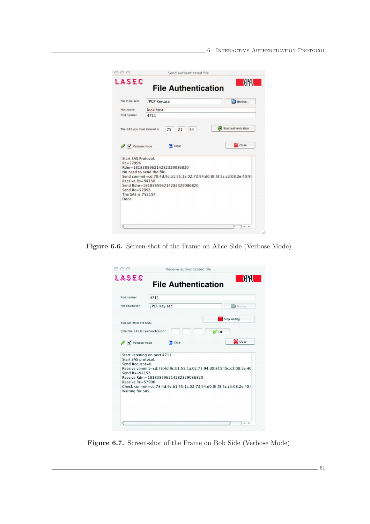6 - Interactive Authentication Protocol

 $\mathbb{R}$ 

|                                        | /PGP Key.asc                                                         | Browse               |
|----------------------------------------|----------------------------------------------------------------------|----------------------|
| Host name                              | localhost                                                            |                      |
| Port number                            | 4711                                                                 |                      |
| The SAS you must transmit is           | 54<br>75<br>21                                                       | Start authentication |
| $\sqrt{\phantom{a}}$ Verbose mode      | Clear                                                                | Close                |
| Start SAS Protocol.<br>$Rc = 57996$    |                                                                      |                      |
|                                        | Rdm=181838596214282329086820                                         |                      |
|                                        | No need to send the file.                                            |                      |
|                                        |                                                                      |                      |
|                                        | Send commit=cd:78:4d:9c:b1:55:1a:02:73:94:d0:8f:5f:5c:c3:08:2e:40:9( |                      |
| Receive Rs=94158                       | Send Rdm=181838596214282329086820                                    |                      |
| Send $Rc = 57996$<br>The SAS is 752154 |                                                                      |                      |

Figure 6.6. Screen-shot of the Frame on Alice Side (Verbose Mode)

|                                                              | 4711                                                                 |              |
|--------------------------------------------------------------|----------------------------------------------------------------------|--------------|
| File destination                                             | /PGP Key.asc                                                         | Browse       |
| You can enter the SAS.                                       |                                                                      | Stop waiting |
|                                                              | Enter the SAS for authentification :                                 | $\vee$ Ok    |
| Verbose mode                                                 | Clear                                                                | Close        |
|                                                              |                                                                      |              |
| Start SAS protocol.                                          | Start listening on port 4711.                                        |              |
|                                                              |                                                                      |              |
|                                                              | Receive commit=cd:78:4d:9c:b1:55:1a:02:73:94:d0:8f:5f:5c:c3:08:2e:40 |              |
|                                                              | Receive Rdm=181838596214282329086820                                 |              |
| Send Request=0.<br>Send $Rs = 94158$<br>Receive $Rc = 57996$ | Check commit=cd:78:4d:9c:b1:55:1a:02:73:94:d0:8f:5f:5c:c3:08:2e:40:9 |              |

Figure 6.7. Screen-shot of the Frame on Bob Side (Verbose Mode)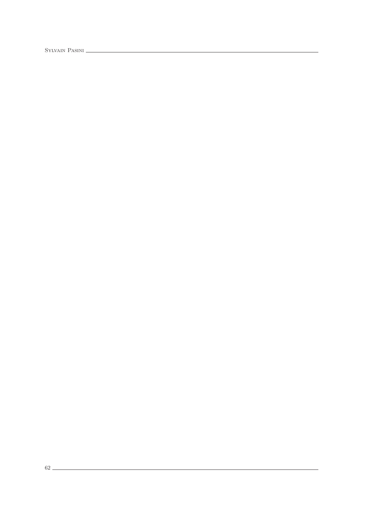Sylvain Pasini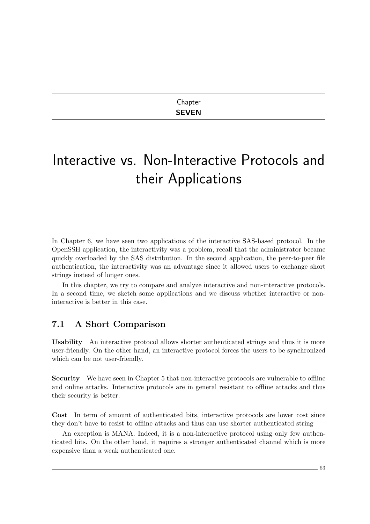| Chapter      |  |
|--------------|--|
| <b>SEVEN</b> |  |

# Interactive vs. Non-Interactive Protocols and their Applications

In Chapter 6, we have seen two applications of the interactive SAS-based protocol. In the OpenSSH application, the interactivity was a problem, recall that the administrator became quickly overloaded by the SAS distribution. In the second application, the peer-to-peer file authentication, the interactivity was an advantage since it allowed users to exchange short strings instead of longer ones.

In this chapter, we try to compare and analyze interactive and non-interactive protocols. In a second time, we sketch some applications and we discuss whether interactive or noninteractive is better in this case.

# 7.1 A Short Comparison

Usability An interactive protocol allows shorter authenticated strings and thus it is more user-friendly. On the other hand, an interactive protocol forces the users to be synchronized which can be not user-friendly.

Security We have seen in Chapter 5 that non-interactive protocols are vulnerable to offline and online attacks. Interactive protocols are in general resistant to offline attacks and thus their security is better.

Cost In term of amount of authenticated bits, interactive protocols are lower cost since they don't have to resist to offline attacks and thus can use shorter authenticated string

An exception is MANA. Indeed, it is a non-interactive protocol using only few authenticated bits. On the other hand, it requires a stronger authenticated channel which is more expensive than a weak authenticated one.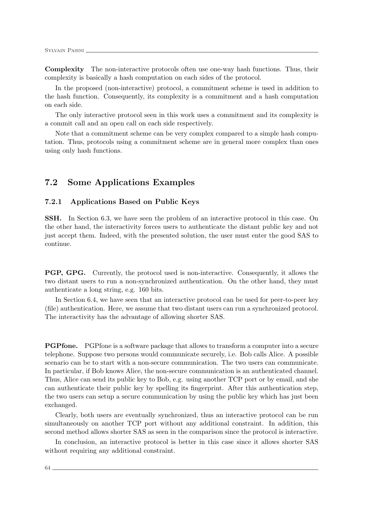Complexity The non-interactive protocols often use one-way hash functions. Thus, their complexity is basically a hash computation on each sides of the protocol.

In the proposed (non-interactive) protocol, a commitment scheme is used in addition to the hash function. Consequently, its complexity is a commitment and a hash computation on each side.

The only interactive protocol seen in this work uses a commitment and its complexity is a commit call and an open call on each side respectively.

Note that a commitment scheme can be very complex compared to a simple hash computation. Thus, protocols using a commitment scheme are in general more complex than ones using only hash functions.

## 7.2 Some Applications Examples

#### 7.2.1 Applications Based on Public Keys

SSH. In Section 6.3, we have seen the problem of an interactive protocol in this case. On the other hand, the interactivity forces users to authenticate the distant public key and not just accept them. Indeed, with the presented solution, the user must enter the good SAS to continue.

PGP, GPG. Currently, the protocol used is non-interactive. Consequently, it allows the two distant users to run a non-synchronized authentication. On the other hand, they must authenticate a long string, e.g. 160 bits.

In Section 6.4, we have seen that an interactive protocol can be used for peer-to-peer key (file) authentication. Here, we assume that two distant users can run a synchronized protocol. The interactivity has the advantage of allowing shorter SAS.

PGPfone. PGPfone is a software package that allows to transform a computer into a secure telephone. Suppose two persons would communicate securely, i.e. Bob calls Alice. A possible scenario can be to start with a non-secure communication. The two users can communicate. In particular, if Bob knows Alice, the non-secure communication is an authenticated channel. Thus, Alice can send its public key to Bob, e.g. using another TCP port or by email, and she can authenticate their public key by spelling its fingerprint. After this authentication step, the two users can setup a secure communication by using the public key which has just been exchanged.

Clearly, both users are eventually synchronized, thus an interactive protocol can be run simultaneously on another TCP port without any additional constraint. In addition, this second method allows shorter SAS as seen in the comparison since the protocol is interactive.

In conclusion, an interactive protocol is better in this case since it allows shorter SAS without requiring any additional constraint.

64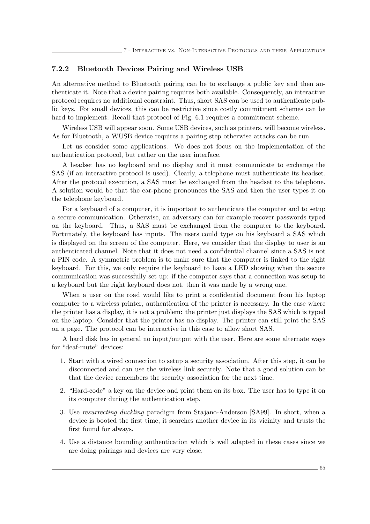#### 7.2.2 Bluetooth Devices Pairing and Wireless USB

An alternative method to Bluetooth pairing can be to exchange a public key and then authenticate it. Note that a device pairing requires both available. Consequently, an interactive protocol requires no additional constraint. Thus, short SAS can be used to authenticate public keys. For small devices, this can be restrictive since costly commitment schemes can be hard to implement. Recall that protocol of Fig. 6.1 requires a commitment scheme.

Wireless USB will appear soon. Some USB devices, such as printers, will become wireless. As for Bluetooth, a WUSB device requires a pairing step otherwise attacks can be run.

Let us consider some applications. We does not focus on the implementation of the authentication protocol, but rather on the user interface.

A headset has no keyboard and no display and it must communicate to exchange the SAS (if an interactive protocol is used). Clearly, a telephone must authenticate its headset. After the protocol execution, a SAS must be exchanged from the headset to the telephone. A solution would be that the ear-phone pronounces the SAS and then the user types it on the telephone keyboard.

For a keyboard of a computer, it is important to authenticate the computer and to setup a secure communication. Otherwise, an adversary can for example recover passwords typed on the keyboard. Thus, a SAS must be exchanged from the computer to the keyboard. Fortunately, the keyboard has inputs. The users could type on his keyboard a SAS which is displayed on the screen of the computer. Here, we consider that the display to user is an authenticated channel. Note that it does not need a confidential channel since a SAS is not a PIN code. A symmetric problem is to make sure that the computer is linked to the right keyboard. For this, we only require the keyboard to have a LED showing when the secure communication was successfully set up: if the computer says that a connection was setup to a keyboard but the right keyboard does not, then it was made by a wrong one.

When a user on the road would like to print a confidential document from his laptop computer to a wireless printer, authentication of the printer is necessary. In the case where the printer has a display, it is not a problem: the printer just displays the SAS which is typed on the laptop. Consider that the printer has no display. The printer can still print the SAS on a page. The protocol can be interactive in this case to allow short SAS.

A hard disk has in general no input/output with the user. Here are some alternate ways for "deaf-mute" devices:

- 1. Start with a wired connection to setup a security association. After this step, it can be disconnected and can use the wireless link securely. Note that a good solution can be that the device remembers the security association for the next time.
- 2. "Hard-code" a key on the device and print them on its box. The user has to type it on its computer during the authentication step.
- 3. Use resurrecting duckling paradigm from Stajano-Anderson [SA99]. In short, when a device is booted the first time, it searches another device in its vicinity and trusts the first found for always.
- 4. Use a distance bounding authentication which is well adapted in these cases since we are doing pairings and devices are very close.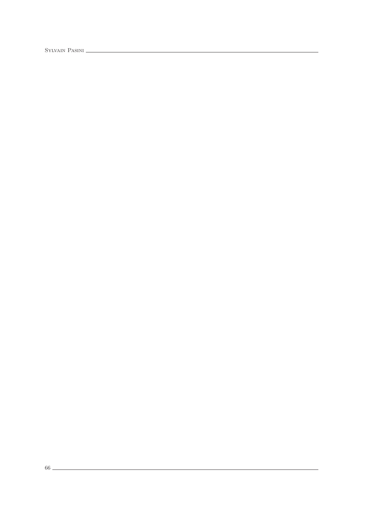Sylvain Pasini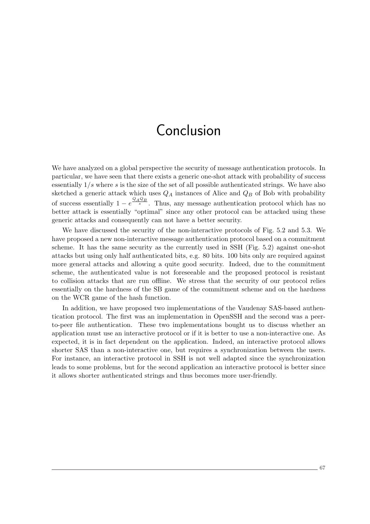# Conclusion

We have analyzed on a global perspective the security of message authentication protocols. In particular, we have seen that there exists a generic one-shot attack with probability of success essentially  $1/s$  where s is the size of the set of all possible authenticated strings. We have also sketched a generic attack which uses  $Q_A$  instances of Alice and  $Q_B$  of Bob with probability of success essentially  $1 - e^{\frac{Q_A Q_B}{s}}$ . Thus, any message authentication protocol which has no better attack is essentially "optimal" since any other protocol can be attacked using these generic attacks and consequently can not have a better security.

We have discussed the security of the non-interactive protocols of Fig. 5.2 and 5.3. We have proposed a new non-interactive message authentication protocol based on a commitment scheme. It has the same security as the currently used in SSH (Fig. 5.2) against one-shot attacks but using only half authenticated bits, e.g. 80 bits. 100 bits only are required against more general attacks and allowing a quite good security. Indeed, due to the commitment scheme, the authenticated value is not foreseeable and the proposed protocol is resistant to collision attacks that are run offline. We stress that the security of our protocol relies essentially on the hardness of the SB game of the commitment scheme and on the hardness on the WCR game of the hash function.

In addition, we have proposed two implementations of the Vaudenay SAS-based authentication protocol. The first was an implementation in OpenSSH and the second was a peerto-peer file authentication. These two implementations bought us to discuss whether an application must use an interactive protocol or if it is better to use a non-interactive one. As expected, it is in fact dependent on the application. Indeed, an interactive protocol allows shorter SAS than a non-interactive one, but requires a synchronization between the users. For instance, an interactive protocol in SSH is not well adapted since the synchronization leads to some problems, but for the second application an interactive protocol is better since it allows shorter authenticated strings and thus becomes more user-friendly.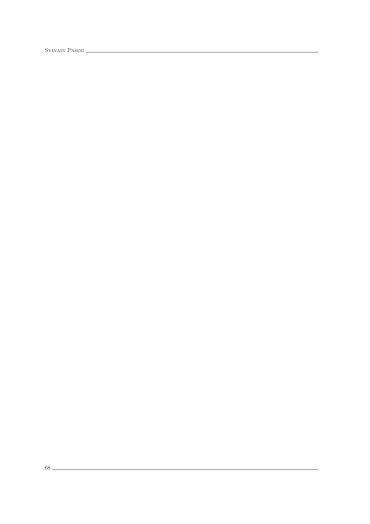Sylvain Pasini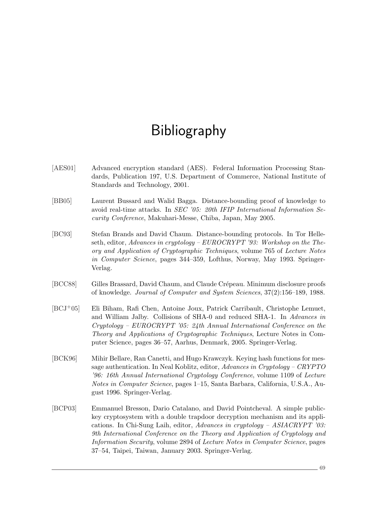# Bibliography

- [AES01] Advanced encryption standard (AES). Federal Information Processing Standards, Publication 197, U.S. Department of Commerce, National Institute of Standards and Technology, 2001.
- [BB05] Laurent Bussard and Walid Bagga. Distance-bounding proof of knowledge to avoid real-time attacks. In SEC '05: 20th IFIP International Information Security Conference, Makuhari-Messe, Chiba, Japan, May 2005.
- [BC93] Stefan Brands and David Chaum. Distance-bounding protocols. In Tor Helleseth, editor, Advances in cryptology –  $EUROCRYPT'$  '93: Workshop on the Theory and Application of Cryptographic Techniques, volume 765 of Lecture Notes in Computer Science, pages 344–359, Lofthus, Norway, May 1993. Springer-Verlag.
- [BCC88] Gilles Brassard, David Chaum, and Claude Crépeau. Minimum disclosure proofs of knowledge. Journal of Computer and System Sciences, 37(2):156–189, 1988.
- [BCJ+05] Eli Biham, Rafi Chen, Antoine Joux, Patrick Carribault, Christophe Lemuet, and William Jalby. Collisions of SHA-0 and reduced SHA-1. In Advances in  $Cryptology - EUROCRYPT'05: 24th Annual International Conference on the$ Theory and Applications of Cryptographic Techniques, Lecture Notes in Computer Science, pages 36–57, Aarhus, Denmark, 2005. Springer-Verlag.
- [BCK96] Mihir Bellare, Ran Canetti, and Hugo Krawczyk. Keying hash functions for message authentication. In Neal Koblitz, editor, Advances in Cryptology – CRYPTO '96: 16th Annual International Cryptology Conference, volume 1109 of Lecture Notes in Computer Science, pages 1–15, Santa Barbara, California, U.S.A., August 1996. Springer-Verlag.
- [BCP03] Emmanuel Bresson, Dario Catalano, and David Pointcheval. A simple publickey cryptosystem with a double trapdoor decryption mechanism and its applications. In Chi-Sung Laih, editor, Advances in cryptology –  $ASIACRYPT'03$ : 9th International Conference on the Theory and Application of Cryptology and Information Security, volume 2894 of Lecture Notes in Computer Science, pages 37–54, Taipei, Taiwan, January 2003. Springer-Verlag.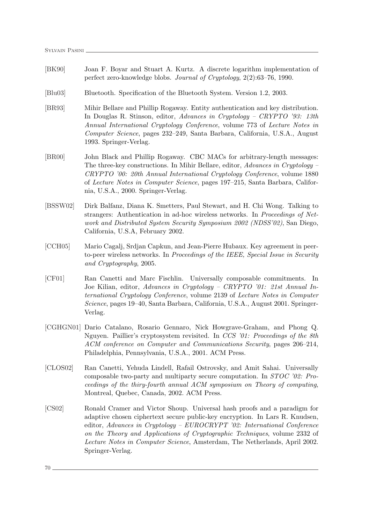- [BK90] Joan F. Boyar and Stuart A. Kurtz. A discrete logarithm implementation of perfect zero-knowledge blobs. Journal of Cryptology, 2(2):63–76, 1990.
- [Blu03] Bluetooth. Specification of the Bluetooth System. Version 1.2, 2003.
- [BR93] Mihir Bellare and Phillip Rogaway. Entity authentication and key distribution. In Douglas R. Stinson, editor, Advances in Cryptology – CRYPTO '93: 13th Annual International Cryptology Conference, volume 773 of Lecture Notes in Computer Science, pages 232–249, Santa Barbara, California, U.S.A., August 1993. Springer-Verlag.
- [BR00] John Black and Phillip Rogaway. CBC MACs for arbitrary-length messages: The three-key constructions. In Mihir Bellare, editor, Advances in Cryptology – CRYPTO '00: 20th Annual International Cryptology Conference, volume 1880 of Lecture Notes in Computer Science, pages 197–215, Santa Barbara, California, U.S.A., 2000. Springer-Verlag.
- [BSSW02] Dirk Balfanz, Diana K. Smetters, Paul Stewart, and H. Chi Wong. Talking to strangers: Authentication in ad-hoc wireless networks. In Proceedings of Network and Distributed System Security Symposium 2002 (NDSS'02), San Diego, California, U.S.A, February 2002.
- [CCH05] Mario Cagalj, Srdjan Capkun, and Jean-Pierre Hubaux. Key agreement in peerto-peer wireless networks. In Proceedings of the IEEE, Special Issue in Security and Cryptography, 2005.
- [CF01] Ran Canetti and Marc Fischlin. Universally composable commitments. In Joe Kilian, editor, Advances in Cryptology – CRYPTO '01: 21st Annual International Cryptology Conference, volume 2139 of Lecture Notes in Computer Science, pages 19–40, Santa Barbara, California, U.S.A., August 2001. Springer-Verlag.
- [CGHGN01] Dario Catalano, Rosario Gennaro, Nick Howgrave-Graham, and Phong Q. Nguyen. Paillier's cryptosystem revisited. In CCS '01: Proceedings of the 8th ACM conference on Computer and Communications Security, pages 206–214, Philadelphia, Pennsylvania, U.S.A., 2001. ACM Press.
- [CLOS02] Ran Canetti, Yehuda Lindell, Rafail Ostrovsky, and Amit Sahai. Universally composable two-party and multiparty secure computation. In STOC '02: Proceedings of the thiry-fourth annual ACM symposium on Theory of computing, Montreal, Quebec, Canada, 2002. ACM Press.
- [CS02] Ronald Cramer and Victor Shoup. Universal hash proofs and a paradigm for adaptive chosen ciphertext secure public-key encryption. In Lars R. Knudsen, editor, Advances in Cryptology – EUROCRYPT '02: International Conference on the Theory and Applications of Cryptographic Techniques, volume 2332 of Lecture Notes in Computer Science, Amsterdam, The Netherlands, April 2002. Springer-Verlag.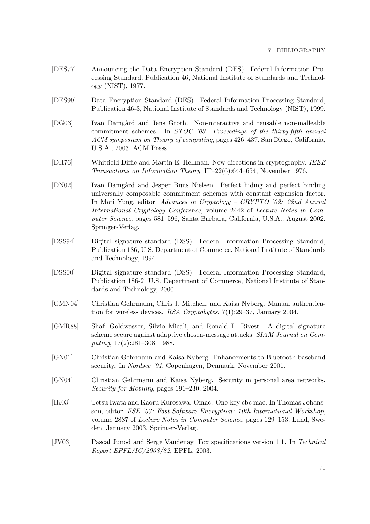- [DES77] Announcing the Data Encryption Standard (DES). Federal Information Processing Standard, Publication 46, National Institute of Standards and Technology (NIST), 1977.
- [DES99] Data Encryption Standard (DES). Federal Information Processing Standard, Publication 46-3, National Institute of Standards and Technology (NIST), 1999.
- [DG03] Ivan Damgård and Jens Groth. Non-interactive and reusable non-malleable commitment schemes. In STOC '03: Proceedings of the thirty-fifth annual ACM symposium on Theory of computing, pages 426–437, San Diego, California, U.S.A., 2003. ACM Press.
- [DH76] Whitfield Diffie and Martin E. Hellman. New directions in cryptography. IEEE Transactions on Information Theory, IT–22(6):644–654, November 1976.
- [DN02] Ivan Damgård and Jesper Buus Nielsen. Perfect hiding and perfect binding universally composable commitment schemes with constant expansion factor. In Moti Yung, editor, Advances in Cryptology – CRYPTO '02: 22nd Annual International Cryptology Conference, volume 2442 of Lecture Notes in Computer Science, pages 581–596, Santa Barbara, California, U.S.A., August 2002. Springer-Verlag.
- [DSS94] Digital signature standard (DSS). Federal Information Processing Standard, Publication 186, U.S. Department of Commerce, National Institute of Standards and Technology, 1994.
- [DSS00] Digital signature standard (DSS). Federal Information Processing Standard, Publication 186-2, U.S. Department of Commerce, National Institute of Standards and Technology, 2000.
- [GMN04] Christian Gehrmann, Chris J. Mitchell, and Kaisa Nyberg. Manual authentication for wireless devices. RSA Cryptobytes, 7(1):29–37, January 2004.
- [GMR88] Shafi Goldwasser, Silvio Micali, and Ronald L. Rivest. A digital signature scheme secure against adaptive chosen-message attacks. SIAM Journal on Computing, 17(2):281–308, 1988.
- [GN01] Christian Gehrmann and Kaisa Nyberg. Enhancements to Bluetooth baseband security. In *Nordsec* '01, Copenhagen, Denmark, November 2001.
- [GN04] Christian Gehrmann and Kaisa Nyberg. Security in personal area networks. Security for Mobility, pages 191–230, 2004.
- [IK03] Tetsu Iwata and Kaoru Kurosawa. Omac: One-key cbc mac. In Thomas Johansson, editor, FSE '03: Fast Software Encryption: 10th International Workshop, volume 2887 of Lecture Notes in Computer Science, pages 129–153, Lund, Sweden, January 2003. Springer-Verlag.
- [JV03] Pascal Junod and Serge Vaudenay. Fox specifications version 1.1. In Technical Report EPFL/IC/2003/82, EPFL, 2003.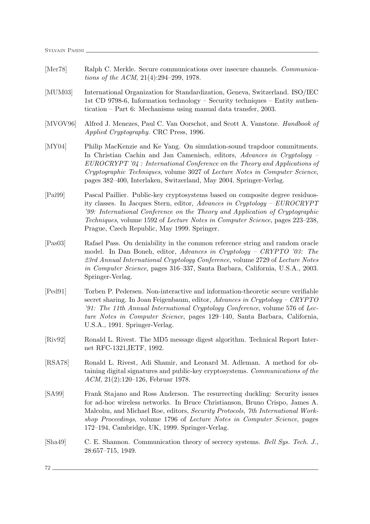| [Mer78]  | Ralph C. Merkle. Secure communications over insecure channels. <i>Communica</i> -<br><i>tions of the ACM</i> , $21(4):294-299$ , 1978.                                                                                                                                                                                                                                                  |  |
|----------|-----------------------------------------------------------------------------------------------------------------------------------------------------------------------------------------------------------------------------------------------------------------------------------------------------------------------------------------------------------------------------------------|--|
| [MUM03]  | International Organization for Standardization, Geneva, Switzerland. ISO/IEC<br>1st CD 9798-6, Information technology $-$ Security techniques $-$ Entity authen-<br>$tication - Part 6$ : Mechanisms using manual data transfer, 2003.                                                                                                                                                  |  |
| [MVOV96] | Alfred J. Menezes, Paul C. Van Oorschot, and Scott A. Vanstone. <i>Handbook of</i><br>Applied Cryptography. CRC Press, 1996.                                                                                                                                                                                                                                                            |  |
| [MY04]   | Philip MacKenzie and Ke Yang. On simulation-sound trapdoor commitments.<br>In Christian Cachin and Jan Camenisch, editors, Advances in Cryptology –<br>$EUROCRYPT'04$ : International Conference on the Theory and Applications of<br>Cryptographic Techniques, volume 3027 of Lecture Notes in Computer Science,<br>pages 382–400, Interlaken, Switzerland, May 2004. Springer-Verlag. |  |
| [Pai99]  | Pascal Paillier. Public-key cryptosystems based on composite degree residuos-<br>ity classes. In Jacques Stern, editor, Advances in Cryptology - EUROCRYPT<br>'99: International Conference on the Theory and Application of Cryptographic<br><i>Techniques, volume 1592 of Lecture Notes in Computer Science, pages 223–238,</i><br>Prague, Czech Republic, May 1999. Springer.        |  |
| [Pas03]  | Rafael Pass. On deniability in the common reference string and random oracle<br>model. In Dan Boneh, editor, Advances in Cryptology - CRYPTO '03: The<br>23rd Annual International Cryptology Conference, volume 2729 of Lecture Notes<br>in Computer Science, pages 316–337, Santa Barbara, California, U.S.A., 2003.<br>Springer-Verlag.                                              |  |
| [Ped91]  | Torben P. Pedersen. Non-interactive and information-theoretic secure verifiable<br>secret sharing. In Joan Feigenbaum, editor, Advances in Cryptology - CRYPTO<br>'91: The 11th Annual International Cryptology Conference, volume 576 of Lec-<br>ture Notes in Computer Science, pages 129–140, Santa Barbara, California,<br>U.S.A., 1991. Springer-Verlag.                           |  |
| [Riv92]  | Ronald L. Rivest. The MD5 message digest algorithm. Technical Report Inter-<br>net RFC-1321, IETF, 1992.                                                                                                                                                                                                                                                                                |  |
| [RSA78]  | Ronald L. Rivest, Adi Shamir, and Leonard M. Adleman. A method for ob-<br>taining digital signatures and public-key cryptosystems. Communications of the<br>$ACM$ , 21(2):120–126, Februar 1978.                                                                                                                                                                                        |  |
| [SA99]   | Frank Stajano and Ross Anderson. The resurrecting duckling: Security issues<br>for ad-hoc wireless networks. In Bruce Christianson, Bruno Crispo, James A.<br>Malcolm, and Michael Roe, editors, <i>Security Protocols</i> , 7th International Work-<br>shop Proceedings, volume 1796 of Lecture Notes in Computer Science, pages<br>172–194, Cambridge, UK, 1999. Springer-Verlag.     |  |
| [Sha49]  | C. E. Shannon. Communication theory of secrecy systems. Bell Sys. Tech. J.,<br>$28:657-715, 1949.$                                                                                                                                                                                                                                                                                      |  |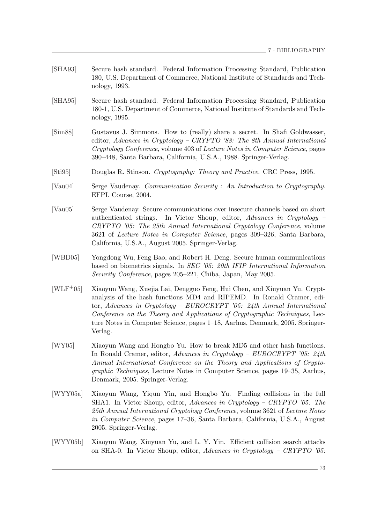- [SHA93] Secure hash standard. Federal Information Processing Standard, Publication 180, U.S. Department of Commerce, National Institute of Standards and Technology, 1993.
- [SHA95] Secure hash standard. Federal Information Processing Standard, Publication 180-1, U.S. Department of Commerce, National Institute of Standards and Technology, 1995.
- [Sim88] Gustavus J. Simmons. How to (really) share a secret. In Shafi Goldwasser, editor, Advances in Cryptology – CRYPTO '88: The 8th Annual International Cryptology Conference, volume 403 of Lecture Notes in Computer Science, pages 390–448, Santa Barbara, California, U.S.A., 1988. Springer-Verlag.
- [Sti95] Douglas R. Stinson. Cryptography: Theory and Practice. CRC Press, 1995.
- [Vau04] Serge Vaudenay. Communication Security : An Introduction to Cryptography. EFPL Course, 2004.
- [Vau05] Serge Vaudenay. Secure communications over insecure channels based on short authenticated strings. In Victor Shoup, editor, Advances in Cryptology – CRYPTO '05: The 25th Annual International Cryptology Conference, volume 3621 of Lecture Notes in Computer Science, pages 309–326, Santa Barbara, California, U.S.A., August 2005. Springer-Verlag.
- [WBD05] Yongdong Wu, Feng Bao, and Robert H. Deng. Secure human communications based on biometrics signals. In SEC '05: 20th IFIP International Information Security Conference, pages 205–221, Chiba, Japan, May 2005.
- [WLF+05] Xiaoyun Wang, Xuejia Lai, Dengguo Feng, Hui Chen, and Xiuyuan Yu. Cryptanalysis of the hash functions MD4 and RIPEMD. In Ronald Cramer, editor, Advances in Cryptology – EUROCRYPT '05: 24th Annual International Conference on the Theory and Applications of Cryptographic Techniques, Lecture Notes in Computer Science, pages 1–18, Aarhus, Denmark, 2005. Springer-Verlag.
- [WY05] Xiaoyun Wang and Hongbo Yu. How to break MD5 and other hash functions. In Ronald Cramer, editor, Advances in Cryptology – EUROCRYPT '05: 24th Annual International Conference on the Theory and Applications of Cryptographic Techniques, Lecture Notes in Computer Science, pages 19–35, Aarhus, Denmark, 2005. Springer-Verlag.
- [WYY05a] Xiaoyun Wang, Yiqun Yin, and Hongbo Yu. Finding collisions in the full SHA1. In Victor Shoup, editor, Advances in Cryptology – CRYPTO '05: The 25th Annual International Cryptology Conference, volume 3621 of Lecture Notes in Computer Science, pages 17–36, Santa Barbara, California, U.S.A., August 2005. Springer-Verlag.
- [WYY05b] Xiaoyun Wang, Xiuyuan Yu, and L. Y. Yin. Efficient collision search attacks on SHA-0. In Victor Shoup, editor, Advances in Cryptology – CRYPTO '05: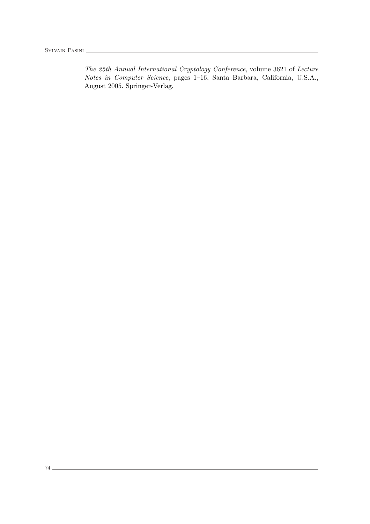The 25th Annual International Cryptology Conference, volume 3621 of Lecture Notes in Computer Science, pages 1–16, Santa Barbara, California, U.S.A., August 2005. Springer-Verlag.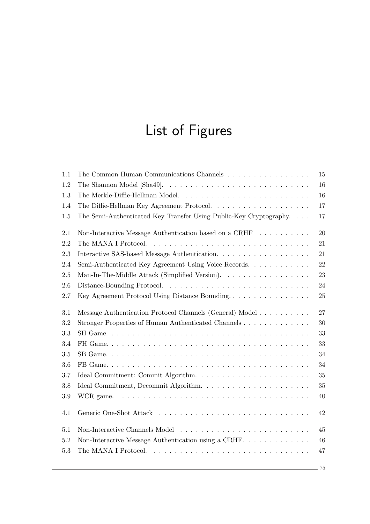## List of Figures

|                                                                                             | 15                                       |
|---------------------------------------------------------------------------------------------|------------------------------------------|
| The Shannon Model [Sha49]. $\ldots \ldots \ldots \ldots \ldots \ldots \ldots \ldots \ldots$ | 16                                       |
|                                                                                             | 16                                       |
|                                                                                             | 17                                       |
| The Semi-Authenticated Key Transfer Using Public-Key Cryptography.                          | 17                                       |
| Non-Interactive Message Authentication based on a CRHF $\ldots \ldots \ldots$               | 20                                       |
|                                                                                             | 21                                       |
| Interactive SAS-based Message Authentication.                                               | 21                                       |
| Semi-Authenticated Key Agreement Using Voice Records.                                       | 22                                       |
| Man-In-The-Middle Attack (Simplified Version).                                              | 23                                       |
|                                                                                             | 24                                       |
| Key Agreement Protocol Using Distance Bounding                                              | $25\,$                                   |
| Message Authentication Protocol Channels (General) Model                                    | 27                                       |
| Stronger Properties of Human Authenticated Channels                                         | 30                                       |
|                                                                                             | 33                                       |
|                                                                                             | 33                                       |
|                                                                                             | 34                                       |
|                                                                                             | 34                                       |
|                                                                                             | 35                                       |
|                                                                                             | 35                                       |
| WCR game.                                                                                   | 40                                       |
|                                                                                             | 42                                       |
|                                                                                             | 45                                       |
| Non-Interactive Message Authentication using a CRHF.                                        | 46                                       |
|                                                                                             | 47                                       |
|                                                                                             | The Common Human Communications Channels |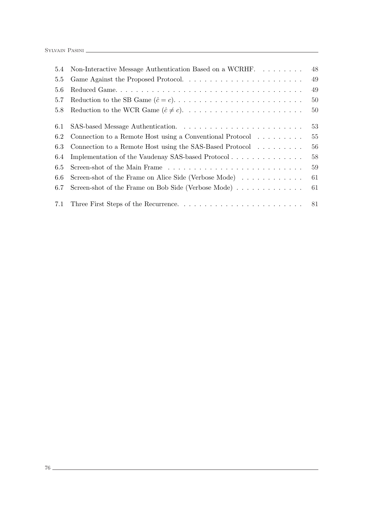| 5.4 | Non-Interactive Message Authentication Based on a WCRHF.                          | 48 |
|-----|-----------------------------------------------------------------------------------|----|
| 5.5 |                                                                                   | 49 |
| 5.6 |                                                                                   | 49 |
| 5.7 |                                                                                   | 50 |
| 5.8 |                                                                                   | 50 |
| 6.1 |                                                                                   | 53 |
| 6.2 | Connection to a Remote Host using a Conventional Protocol $\dots \dots$           | 55 |
| 6.3 | Connection to a Remote Host using the SAS-Based Protocol                          | 56 |
| 6.4 | Implementation of the Vaudenay SAS-based Protocol                                 | 58 |
| 6.5 |                                                                                   | 59 |
| 6.6 | Screen-shot of the Frame on Alice Side (Verbose Mode)                             | 61 |
| 6.7 | Screen-shot of the Frame on Bob Side (Verbose Mode) $\ldots \ldots \ldots \ldots$ | 61 |
| 7.1 |                                                                                   |    |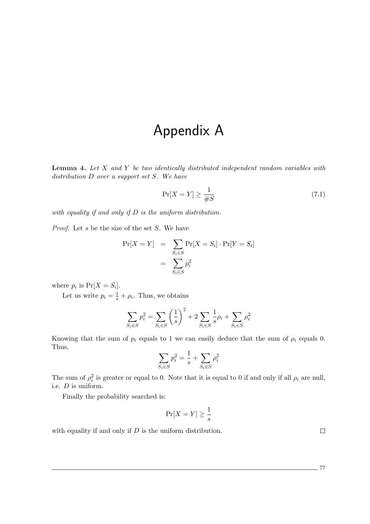## Appendix A

**Lemma 4.** Let  $X$  and  $Y$  be two identically distributed independent random variables with distribution D over a support set S. We have

$$
\Pr[X = Y] \ge \frac{1}{\#S} \tag{7.1}
$$

with equality if and only if D is the uniform distribution.

*Proof.* Let  $s$  be the size of the set  $S$ . We have

$$
\Pr[X = Y] = \sum_{S_i \in S} \Pr[X = S_i] \cdot \Pr[Y = S_i]
$$

$$
= \sum_{S_i \in S} p_i^2
$$

where  $p_i$  is  $Pr[X = S_i]$ .

Let us write  $p_i = \frac{1}{s} + \rho_i$ . Thus, we obtains

$$
\sum_{S_i \in S} p_i^2 = \sum_{S_i \in S} \left(\frac{1}{s}\right)^2 + 2 \sum_{S_i \in S} \frac{1}{s} \rho_i + \sum_{S_i \in S} \rho_i^2
$$

Knowing that the sum of  $p_i$  equals to 1 we can easily deduce that the sum of  $\rho_i$  equals 0. Thus,

$$
\sum_{S_i \in S} p_i^2 = \frac{1}{s} + \sum_{S_i \in S} \rho_i^2
$$

The sum of  $\rho_i^2$  is greater or equal to 0. Note that it is equal to 0 if and only if all  $\rho_i$  are null, i.e. D is uniform.

Finally the probability searched is:

$$
\Pr[X = Y] \ge \frac{1}{s}
$$

with equality if and only if  $D$  is the uniform distribution.

 $\Box$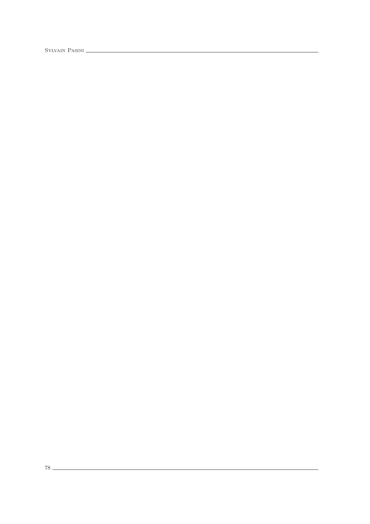Sylvain Pasini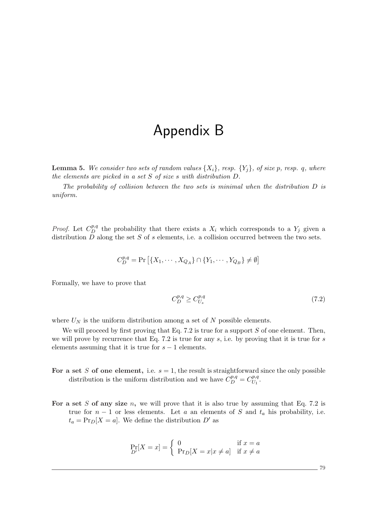## Appendix B

**Lemma 5.** We consider two sets of random values  $\{X_i\}$ , resp.  $\{Y_j\}$ , of size p, resp. q, where the elements are picked in a set S of size s with distribution D.

The probability of collision between the two sets is minimal when the distribution  $D$  is uniform.

*Proof.* Let  $C_D^{p,q}$  the probability that there exists a  $X_i$  which corresponds to a  $Y_j$  given a distribution  $D$  along the set  $S$  of  $s$  elements, i.e. a collision occurred between the two sets.

$$
C_{D}^{p,q} = \Pr\left[\{X_1, \cdots, X_{Q_A}\} \cap \{Y_1, \cdots, Y_{Q_B}\} \neq \emptyset\right]
$$

Formally, we have to prove that

$$
C_D^{p,q} \ge C_{U_s}^{p,q} \tag{7.2}
$$

where  $U_N$  is the uniform distribution among a set of  $N$  possible elements.

We will proceed by first proving that Eq. 7.2 is true for a support  $S$  of one element. Then, we will prove by recurrence that Eq. 7.2 is true for any s, i.e. by proving that it is true for s elements assuming that it is true for  $s - 1$  elements.

- For a set S of one element, i.e.  $s = 1$ , the result is straightforward since the only possible distribution is the uniform distribution and we have  $\widetilde{C}_{D}^{p,q} = C_{U_1}^{p,q}$  $_{U_1}^{p,q}.$
- For a set  $S$  of any size  $n$ , we will prove that it is also true by assuming that Eq. 7.2 is true for  $n-1$  or less elements. Let a an elements of S and  $t_a$  his probability, i.e.  $t_a = Pr_D[X = a]$ . We define the distribution D' as

$$
\Pr_{D'}[X=x] = \begin{cases} 0 & \text{if } x=a\\ \Pr_D[X=x|x\neq a] & \text{if } x\neq a \end{cases}
$$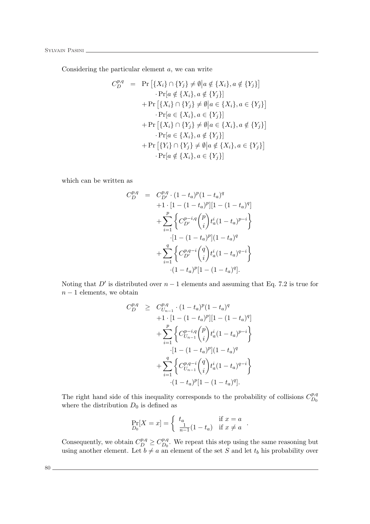Considering the particular element  $a$ , we can write

$$
C_{D}^{p,q} = \Pr \left[ \{ X_{i} \} \cap \{ Y_{j} \} \neq \emptyset \middle| a \notin \{ X_{i} \}, a \notin \{ Y_{j} \} \right] \cdot \Pr[a \notin \{ X_{i} \}, a \notin \{ Y_{j} \}] \n+ \Pr \left[ \{ X_{i} \} \cap \{ Y_{j} \} \neq \emptyset \middle| a \in \{ X_{i} \}, a \in \{ Y_{j} \} \right] \cdot \Pr[a \in \{ X_{i} \}, a \in \{ Y_{j} \}] \n+ \Pr \left[ \{ X_{i} \} \cap \{ Y_{j} \} \neq \emptyset \middle| a \in \{ X_{i} \}, a \notin \{ Y_{j} \} \right] \cdot \Pr[a \in \{ X_{i} \}, a \notin \{ Y_{j} \}] \n+ \Pr \left[ \{ Y_{i} \} \cap \{ Y_{j} \} \neq \emptyset \middle| a \notin \{ X_{i} \}, a \in \{ Y_{j} \} \right] \cdot \Pr[a \notin \{ X_{i} \}, a \in \{ Y_{j} \}]
$$

which can be written as

$$
C_D^{p,q} = C_{D'}^{p,q} \cdot (1 - t_a)^p (1 - t_a)^q
$$
  
+1 \cdot [1 - (1 - t\_a)^p][1 - (1 - t\_a)^q]  
+ 
$$
\sum_{i=1}^p \left\{ C_{D'}^{p-i,q} {p \choose i} t_a^i (1 - t_a)^{p-i} \right\}
$$
  
+ 
$$
\sum_{i=1}^q \left\{ C_{D'}^{p,q-i} {q \choose i} t_a^i (1 - t_a)^q \right\}
$$
  
+ 
$$
\sum_{i=1}^q \left\{ C_{D'}^{p,q-i} {q \choose i} t_a^i (1 - t_a)^{q-i} \right\}
$$
  
-(1 - t\_a)^p [1 - (1 - t\_a)^q].

Noting that  $D'$  is distributed over  $n-1$  elements and assuming that Eq. 7.2 is true for  $n-1$  elements, we obtain

$$
C_{D}^{p,q} \geq C_{U_{n-1}}^{p,q} \cdot (1 - t_a)^p (1 - t_a)^q
$$
  
+1 \cdot [1 - (1 - t\_a)^p][1 - (1 - t\_a)^q]  
+ 
$$
\sum_{i=1}^p \left\{ C_{U_{n-1}}^{p-i,q} {p \choose i} t_a^i (1 - t_a)^{p-i} \right\}
$$
  
+ 
$$
\sum_{i=1}^q \left\{ C_{U_{n-1}}^{p,q-i} {q \choose i} t_a^i (1 - t_a)^{q-i} \right\}
$$
  
+ 
$$
\sum_{i=1}^q \left\{ C_{U_{n-1}}^{p,q-i} {q \choose i} t_a^i (1 - t_a)^{q-i} \right\}
$$
  
-(1 - t\_a)^p [1 - (1 - t\_a)^q].

The right hand side of this inequality corresponds to the probability of collisions  $C_{D_0}^{p,q}$  $D_0$ where the distribution  $D_0$  is defined as

$$
\Pr_{D_0}[X=x] = \begin{cases} t_a & \text{if } x = a \\ \frac{1}{n-1}(1-t_a) & \text{if } x \neq a \end{cases}
$$

.

Consequently, we obtain  $C_D^{p,q} \geq C_{D_0}^{p,q}$  $\mathbb{D}_0^{p,q}$ . We repeat this step using the same reasoning but using another element. Let  $b \neq a$  an element of the set S and let  $t_b$  his probability over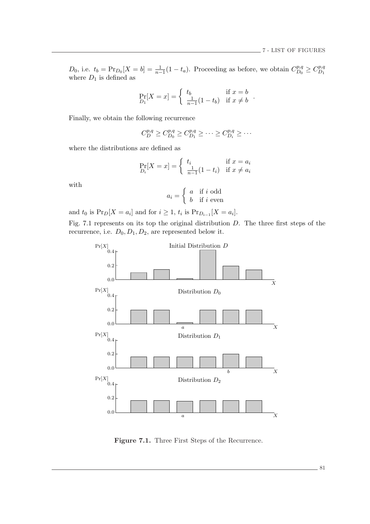$D_0$ , i.e.  $t_b = \Pr_{D_0}[X = b] = \frac{1}{n-1}(1 - t_a)$ . Proceeding as before, we obtain  $C_{D_0}^{p,q}$  $D_0^{p,q} \geq C_{D_1}^{p,q}$  $D_1$ where  $D_1$  is defined as

$$
\Pr_{D_1}[X = x] = \begin{cases} t_b & \text{if } x = b \\ \frac{1}{n-1}(1-t_b) & \text{if } x \neq b \end{cases}.
$$

Finally, we obtain the following recurrence

$$
C_{D}^{p,q} \geq C_{D_0}^{p,q} \geq C_{D_1}^{p,q} \geq \cdots \geq C_{D_i}^{p,q} \geq \cdots
$$

where the distributions are defined as

$$
\Pr_{D_i}[X = x] = \begin{cases} t_i & \text{if } x = a_i \\ \frac{1}{n-1}(1 - t_i) & \text{if } x \neq a_i \end{cases}
$$

with

$$
a_i = \begin{cases} a & \text{if } i \text{ odd} \\ b & \text{if } i \text{ even} \end{cases}
$$

and  $t_0$  is  $Pr_D[X = a_i]$  and for  $i \geq 1$ ,  $t_i$  is  $Pr_{D_{i-1}}[X = a_i]$ .

Fig. 7.1 represents on its top the original distribution  $D$ . The three first steps of the recurrence, i.e.  $D_0, D_1, D_2$ , are represented below it.



Figure 7.1. Three First Steps of the Recurrence.